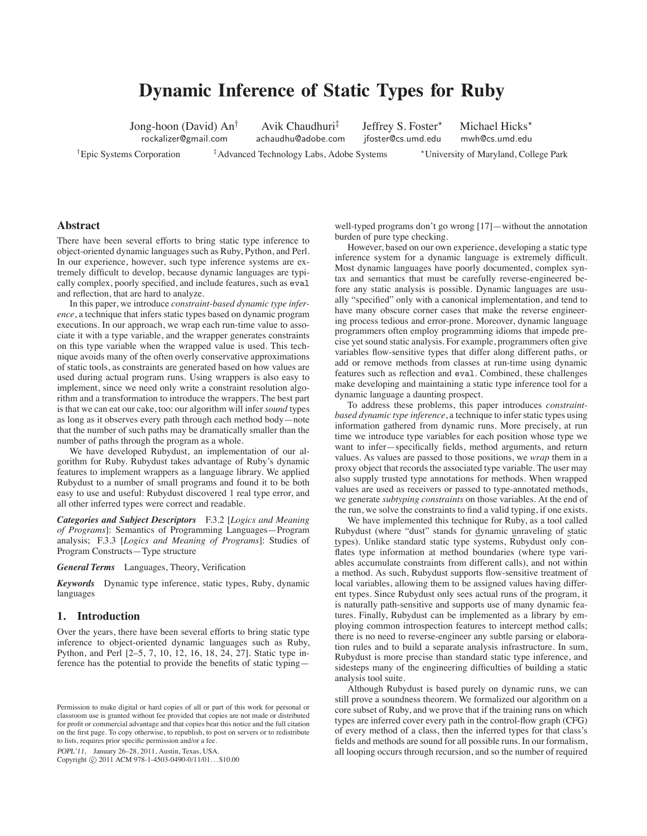# **Dynamic Inference of Static Types for Ruby**

Jong-hoon (David) An† rockalizer@gmail.com

Avik Chaudhuri‡ achaudhu@adobe.com

Jeffrey S. Foster\* jfoster@cs.umd.edu

Michael Hicks<sup>\*</sup> mwh@cs.umd.edu

University of Maryland, College Park

<sup>†</sup>Epic Systems Corporation <sup>‡</sup>Advanced Technology Labs, Adobe Systems

**Abstract**

There have been several efforts to bring static type inference to object-oriented dynamic languages such as Ruby, Python, and Perl. In our experience, however, such type inference systems are extremely difficult to develop, because dynamic languages are typically complex, poorly specified, and include features, such as eval and reflection, that are hard to analyze.

In this paper, we introduce *constraint-based dynamic type inference*, a technique that infers static types based on dynamic program executions. In our approach, we wrap each run-time value to associate it with a type variable, and the wrapper generates constraints on this type variable when the wrapped value is used. This technique avoids many of the often overly conservative approximations of static tools, as constraints are generated based on how values are used during actual program runs. Using wrappers is also easy to implement, since we need only write a constraint resolution algorithm and a transformation to introduce the wrappers. The best part is that we can eat our cake, too: our algorithm will infer *sound* types as long as it observes every path through each method body—note that the number of such paths may be dramatically smaller than the number of paths through the program as a whole.

We have developed Rubydust, an implementation of our algorithm for Ruby. Rubydust takes advantage of Ruby's dynamic features to implement wrappers as a language library. We applied Rubydust to a number of small programs and found it to be both easy to use and useful: Rubydust discovered 1 real type error, and all other inferred types were correct and readable.

*Categories and Subject Descriptors* F.3.2 [*Logics and Meaning of Programs*]: Semantics of Programming Languages—Program analysis; F.3.3 [*Logics and Meaning of Programs*]: Studies of Program Constructs—Type structure

# *General Terms* Languages, Theory, Verification

*Keywords* Dynamic type inference, static types, Ruby, dynamic languages

# **1. Introduction**

Over the years, there have been several efforts to bring static type inference to object-oriented dynamic languages such as Ruby, Python, and Perl [2–5, 7, 10, 12, 16, 18, 24, 27]. Static type inference has the potential to provide the benefits of static typing—

POPL'11, January 26–28, 2011, Austin, Texas, USA.

Copyright © 2011 ACM 978-1-4503-0490-0/11/01...\$10.00

well-typed programs don't go wrong [17]—without the annotation burden of pure type checking.

However, based on our own experience, developing a static type inference system for a dynamic language is extremely difficult. Most dynamic languages have poorly documented, complex syntax and semantics that must be carefully reverse-engineered before any static analysis is possible. Dynamic languages are usually "specified" only with a canonical implementation, and tend to have many obscure corner cases that make the reverse engineering process tedious and error-prone. Moreover, dynamic language programmers often employ programming idioms that impede precise yet sound static analysis. For example, programmers often give variables flow-sensitive types that differ along different paths, or add or remove methods from classes at run-time using dynamic features such as reflection and eval. Combined, these challenges make developing and maintaining a static type inference tool for a dynamic language a daunting prospect.

To address these problems, this paper introduces *constraintbased dynamic type inference*, a technique to infer static types using information gathered from dynamic runs. More precisely, at run time we introduce type variables for each position whose type we want to infer—specifically fields, method arguments, and return values. As values are passed to those positions, we *wrap* them in a proxy object that records the associated type variable. The user may also supply trusted type annotations for methods. When wrapped values are used as receivers or passed to type-annotated methods, we generate *subtyping constraints* on those variables. At the end of the run, we solve the constraints to find a valid typing, if one exists.

We have implemented this technique for Ruby, as a tool called Rubydust (where "dust" stands for dynamic unraveling of static types). Unlike standard static type systems, Rubydust only conflates type information at method boundaries (where type variables accumulate constraints from different calls), and not within a method. As such, Rubydust supports flow-sensitive treatment of local variables, allowing them to be assigned values having different types. Since Rubydust only sees actual runs of the program, it is naturally path-sensitive and supports use of many dynamic features. Finally, Rubydust can be implemented as a library by employing common introspection features to intercept method calls; there is no need to reverse-engineer any subtle parsing or elaboration rules and to build a separate analysis infrastructure. In sum, Rubydust is more precise than standard static type inference, and sidesteps many of the engineering difficulties of building a static analysis tool suite.

Although Rubydust is based purely on dynamic runs, we can still prove a soundness theorem. We formalized our algorithm on a core subset of Ruby, and we prove that if the training runs on which types are inferred cover every path in the control-flow graph (CFG) of every method of a class, then the inferred types for that class's fields and methods are sound for all possible runs. In our formalism, all looping occurs through recursion, and so the number of required

Permission to make digital or hard copies of all or part of this work for personal or classroom use is granted without fee provided that copies are not made or distributed for profit or commercial advantage and that copies bear this notice and the full citation on the first page. To copy otherwise, to republish, to post on servers or to redistribute to lists, requires prior specific permission and/or a fee.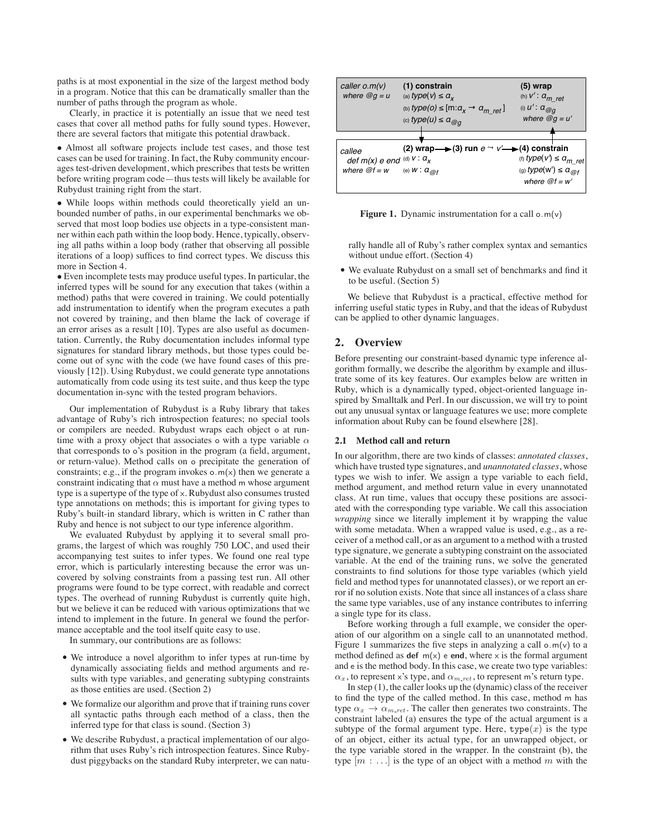paths is at most exponential in the size of the largest method body in a program. Notice that this can be dramatically smaller than the number of paths through the program as whole.

Clearly, in practice it is potentially an issue that we need test cases that cover all method paths for fully sound types. However, there are several factors that mitigate this potential drawback.

• Almost all software projects include test cases, and those test cases can be used for training. In fact, the Ruby community encourages test-driven development, which prescribes that tests be written before writing program code—thus tests will likely be available for Rubydust training right from the start.

• While loops within methods could theoretically yield an unbounded number of paths, in our experimental benchmarks we observed that most loop bodies use objects in a type-consistent manner within each path within the loop body. Hence, typically, observing all paths within a loop body (rather that observing all possible iterations of a loop) suffices to find correct types. We discuss this more in Section 4.

• Even incomplete tests may produce useful types. In particular, the inferred types will be sound for any execution that takes (within a method) paths that were covered in training. We could potentially add instrumentation to identify when the program executes a path not covered by training, and then blame the lack of coverage if an error arises as a result [10]. Types are also useful as documentation. Currently, the Ruby documentation includes informal type signatures for standard library methods, but those types could become out of sync with the code (we have found cases of this previously [12]). Using Rubydust, we could generate type annotations automatically from code using its test suite, and thus keep the type documentation in-sync with the tested program behaviors.

Our implementation of Rubydust is a Ruby library that takes advantage of Ruby's rich introspection features; no special tools or compilers are needed. Rubydust wraps each object o at runtime with a proxy object that associates o with a type variable  $\alpha$ that corresponds to o's position in the program (a field, argument, or return-value). Method calls on o precipitate the generation of constraints; e.g., if the program invokes  $o.m(x)$  then we generate a constraint indicating that  $\alpha$  must have a method m whose argument type is a supertype of the type of x. Rubydust also consumes trusted type annotations on methods; this is important for giving types to Ruby's built-in standard library, which is written in C rather than Ruby and hence is not subject to our type inference algorithm.

We evaluated Rubydust by applying it to several small programs, the largest of which was roughly 750 LOC, and used their accompanying test suites to infer types. We found one real type error, which is particularly interesting because the error was uncovered by solving constraints from a passing test run. All other programs were found to be type correct, with readable and correct types. The overhead of running Rubydust is currently quite high, but we believe it can be reduced with various optimizations that we intend to implement in the future. In general we found the performance acceptable and the tool itself quite easy to use.

In summary, our contributions are as follows:

- We introduce a novel algorithm to infer types at run-time by dynamically associating fields and method arguments and results with type variables, and generating subtyping constraints as those entities are used. (Section 2)
- We formalize our algorithm and prove that if training runs cover all syntactic paths through each method of a class, then the inferred type for that class is sound. (Section 3)
- We describe Rubydust, a practical implementation of our algorithm that uses Ruby's rich introspection features. Since Rubydust piggybacks on the standard Ruby interpreter, we can natu-

| caller $o.m(v)$<br>where $@q = u$                                                                       | (1) constrain<br>(a) $type(v) \le a_r$<br>(b) $type(o) \leq [m: a_x \rightarrow a_{m,ret}]$<br>(c) $type(u) \leq \alpha_{@g}$ | (5) wrap<br>(h) $V'$ : $a_{m,ret}$<br>(i) $u'$ : $a_{@g}$<br>where $@q = u'$                                                                                           |  |
|---------------------------------------------------------------------------------------------------------|-------------------------------------------------------------------------------------------------------------------------------|------------------------------------------------------------------------------------------------------------------------------------------------------------------------|--|
|                                                                                                         |                                                                                                                               |                                                                                                                                                                        |  |
| callee<br>def $m(x)$ e end $\left(\text{d}\right) V : G_x$<br>where $@f = w$ (e) $W : \mathcal{A}_{@f}$ |                                                                                                                               | (2) wrap— $\rightarrow$ (3) run $e \rightarrow v' \rightarrow (4)$ constrain<br>(f) $type(v) \le a_{m, ret}$<br>(g) $type(w') \leq a_{\emptyset f}$<br>where $@f = w'$ |  |

Figure 1. Dynamic instrumentation for a call o.m(v)

rally handle all of Ruby's rather complex syntax and semantics without undue effort. (Section 4)

• We evaluate Rubydust on a small set of benchmarks and find it to be useful. (Section 5)

We believe that Rubydust is a practical, effective method for inferring useful static types in Ruby, and that the ideas of Rubydust can be applied to other dynamic languages.

# **2. Overview**

Before presenting our constraint-based dynamic type inference algorithm formally, we describe the algorithm by example and illustrate some of its key features. Our examples below are written in Ruby, which is a dynamically typed, object-oriented language inspired by Smalltalk and Perl. In our discussion, we will try to point out any unusual syntax or language features we use; more complete information about Ruby can be found elsewhere [28].

## **2.1 Method call and return**

In our algorithm, there are two kinds of classes: *annotated classes*, which have trusted type signatures, and *unannotated classes*, whose types we wish to infer. We assign a type variable to each field, method argument, and method return value in every unannotated class. At run time, values that occupy these positions are associated with the corresponding type variable. We call this association *wrapping* since we literally implement it by wrapping the value with some metadata. When a wrapped value is used, e.g., as a receiver of a method call, or as an argument to a method with a trusted type signature, we generate a subtyping constraint on the associated variable. At the end of the training runs, we solve the generated constraints to find solutions for those type variables (which yield field and method types for unannotated classes), or we report an error if no solution exists. Note that since all instances of a class share the same type variables, use of any instance contributes to inferring a single type for its class.

Before working through a full example, we consider the operation of our algorithm on a single call to an unannotated method. Figure 1 summarizes the five steps in analyzing a call  $o.m(v)$  to a method defined as **def**  $m(x)$  e **end**, where x is the formal argument and e is the method body. In this case, we create two type variables:  $\alpha_x$ , to represent x's type, and  $\alpha_{m,ret}$ , to represent m's return type.

In step (1), the caller looks up the (dynamic) class of the receiver to find the type of the called method. In this case, method m has type  $\alpha_x \to \alpha_{m\_ret}$ . The caller then generates two constraints. The constraint labeled (a) ensures the type of the actual argument is a subtype of the formal argument type. Here,  $type(x)$  is the type of an object, either its actual type, for an unwrapped object, or the type variable stored in the wrapper. In the constraint (b), the type  $[m : ...]$  is the type of an object with a method m with the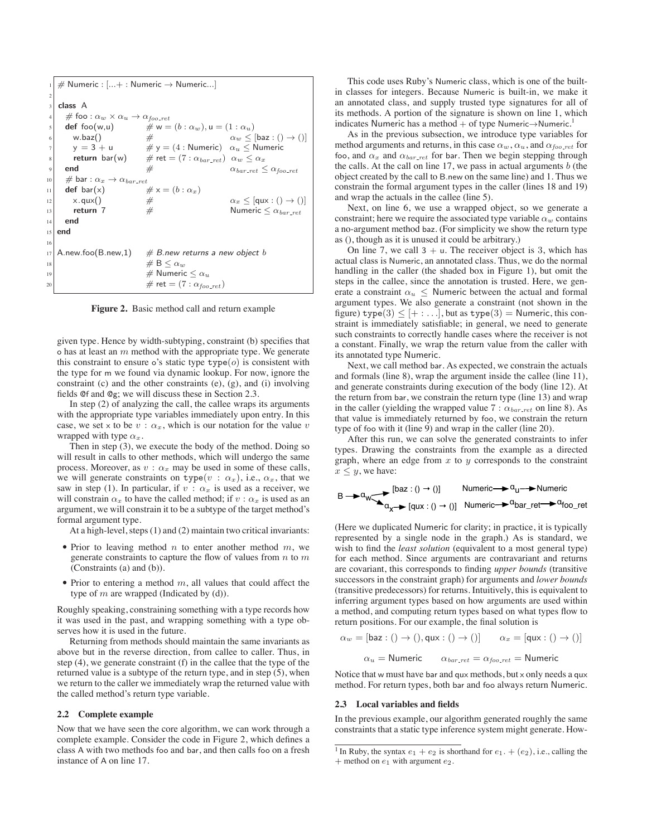```
# Numeric : [...+ : Numeric \rightarrow Numeric...]
2
   3 class A
     # foo : \alpha_w \times \alpha_u \rightarrow \alpha_{foo\_ret}<br>def foo(w,u) # w =\# w = (b : \alpha_w), u = (1 : \alpha_u)<br>
\#w.baz() \qquad \qquad \# \qquad \qquad \alpha_w \leq [\text{baz} : () \to ()]y = 3 + u # y = (4 : Numeric) \alpha_u \leq Numeric
       return bar(w) \# ret = (7 : \alpha_{bar\_ret}) \alpha_w \leq \alpha_xend \# \alpha_{bar\_ret} \leq \alpha_{foo\_ret}10 # bar : \alpha_x \rightarrow \alpha_{bar\_ret}<br>11 def bar(x)
                            \# x = (b : \alpha_x)\alpha_x \leq [\text{qux} : () \rightarrow ()]13 return 7 \# Numeric \leq \alpha_{bar\_ret}14 end
15 end
16
17 A.new.foo(B.new,1) \# B.new returns a new object b
18 A \# B \leq \alpha_w19 4 \mu Numeric \leq \alpha_u\# \text{ ret } = (7 : \alpha_{foo\_ret})
```
**Figure 2.** Basic method call and return example

given type. Hence by width-subtyping, constraint (b) specifies that  $\circ$  has at least an  $m$  method with the appropriate type. We generate this constraint to ensure o's static type  $type(o)$  is consistent with the type for m we found via dynamic lookup. For now, ignore the constraint (c) and the other constraints (e), (g), and (i) involving fields @f and @g; we will discuss these in Section 2.3.

In step (2) of analyzing the call, the callee wraps its arguments with the appropriate type variables immediately upon entry. In this case, we set x to be  $v : \alpha_x$ , which is our notation for the value v wrapped with type  $\alpha_x$ .

Then in step (3), we execute the body of the method. Doing so will result in calls to other methods, which will undergo the same process. Moreover, as  $v : \alpha_x$  may be used in some of these calls, we will generate constraints on  $type(v : \alpha_x)$ , i.e.,  $\alpha_x$ , that we saw in step (1). In particular, if  $v : \alpha_x$  is used as a receiver, we will constrain  $\alpha_x$  to have the called method; if  $v : \alpha_x$  is used as an argument, we will constrain it to be a subtype of the target method's formal argument type.

At a high-level, steps (1) and (2) maintain two critical invariants:

- Prior to leaving method  $n$  to enter another method  $m$ , we generate constraints to capture the flow of values from  $n$  to  $m$ (Constraints (a) and (b)).
- Prior to entering a method  $m$ , all values that could affect the type of  $m$  are wrapped (Indicated by (d)).

Roughly speaking, constraining something with a type records how it was used in the past, and wrapping something with a type observes how it is used in the future.

Returning from methods should maintain the same invariants as above but in the reverse direction, from callee to caller. Thus, in step (4), we generate constraint (f) in the callee that the type of the returned value is a subtype of the return type, and in step (5), when we return to the caller we immediately wrap the returned value with the called method's return type variable.

## **2.2 Complete example**

Now that we have seen the core algorithm, we can work through a complete example. Consider the code in Figure 2, which defines a class A with two methods foo and bar, and then calls foo on a fresh instance of A on line 17.

This code uses Ruby's Numeric class, which is one of the builtin classes for integers. Because Numeric is built-in, we make it an annotated class, and supply trusted type signatures for all of its methods. A portion of the signature is shown on line 1, which indicates Numeric has a method + of type Numeric $\rightarrow$ Numeric.<sup>1</sup>

As in the previous subsection, we introduce type variables for method arguments and returns, in this case  $\alpha_w$ ,  $\alpha_u$ , and  $\alpha_{\text{foo.}ret}$  for foo, and  $\alpha_x$  and  $\alpha_{bar.ret}$  for bar. Then we begin stepping through the calls. At the call on line  $17$ , we pass in actual arguments  $b$  (the object created by the call to B.new on the same line) and 1. Thus we constrain the formal argument types in the caller (lines 18 and 19) and wrap the actuals in the callee (line 5).

Next, on line 6, we use a wrapped object, so we generate a constraint; here we require the associated type variable  $\alpha_w$  contains a no-argument method baz. (For simplicity we show the return type as (), though as it is unused it could be arbitrary.)

On line 7, we call  $3 + u$ . The receiver object is 3, which has actual class is Numeric, an annotated class. Thus, we do the normal handling in the caller (the shaded box in Figure 1), but omit the steps in the callee, since the annotation is trusted. Here, we generate a constraint  $\alpha_u$  < Numeric between the actual and formal argument types. We also generate a constraint (not shown in the figure) type $(3) \leq [+ \dots]$ , but as type $(3)$  = Numeric, this constraint is immediately satisfiable; in general, we need to generate such constraints to correctly handle cases where the receiver is not a constant. Finally, we wrap the return value from the caller with its annotated type Numeric.

Next, we call method bar. As expected, we constrain the actuals and formals (line 8), wrap the argument inside the callee (line 11), and generate constraints during execution of the body (line 12). At the return from bar, we constrain the return type (line 13) and wrap in the caller (yielding the wrapped value  $7 : \alpha_{bar\_ret}$  on line 8). As that value is immediately returned by foo, we constrain the return type of foo with it (line 9) and wrap in the caller (line 20).

After this run, we can solve the generated constraints to infer types. Drawing the constraints from the example as a directed graph, where an edge from  $x$  to  $y$  corresponds to the constraint  $x \leq y$ , we have:

B 
$$
\rightarrow a_{W}
$$
 [baz : ()  $\rightarrow$  ()]  
\nNumberic  $\rightarrow a_{U}$  - Numberic  
\n $a_{X}$  - [qux : ()  $\rightarrow$  ()]  
\nNumberic  $\rightarrow a_{bar\_ret}$  -  $a_{foo\_ret}$ 

(Here we duplicated Numeric for clarity; in practice, it is typically represented by a single node in the graph.) As is standard, we wish to find the *least solution* (equivalent to a most general type) for each method. Since arguments are contravariant and returns are covariant, this corresponds to finding *upper bounds* (transitive successors in the constraint graph) for arguments and *lower bounds* (transitive predecessors) for returns. Intuitively, this is equivalent to inferring argument types based on how arguments are used within a method, and computing return types based on what types flow to return positions. For our example, the final solution is

$$
\alpha_w = [\text{baz} : () \to (), \text{qux} : () \to ()] \qquad \alpha_x = [\text{qux} : () \to ()]
$$

$$
\alpha_u = \text{Numeric} \qquad \alpha_{bar\_ret} = \alpha_{foo\_ret} = \text{Numeric}
$$

Notice that w must have bar and qux methods, but x only needs a qux method. For return types, both bar and foo always return Numeric.

## **2.3 Local variables and fields**

In the previous example, our algorithm generated roughly the same constraints that a static type inference system might generate. How-

<sup>&</sup>lt;sup>1</sup> In Ruby, the syntax  $e_1 + e_2$  is shorthand for  $e_1$ . +  $(e_2)$ , i.e., calling the + method on  $e_1$  with argument  $e_2$ .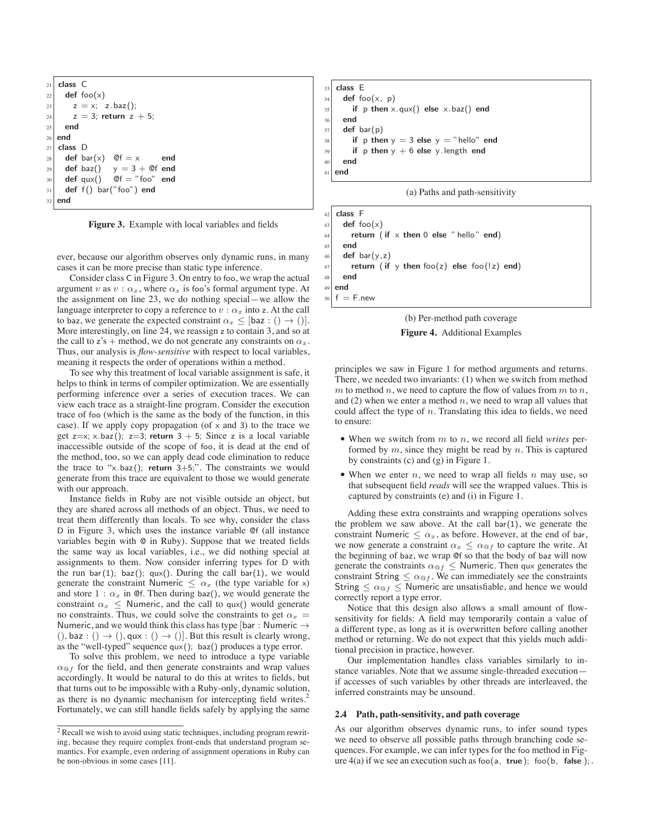```
21 class C
|22| def foo(x)
23 z = x; z.baz();
|z_4| z = 3; return z + 5;
25 end
26 end
27 class D
\log def bar(x) \mathbb{Q}f = x end
29 def baz() y = 3 + \mathbb{Q} end
30 def qux() Qf = "foo" end
31 def f () bar("foo") end
32 end
```
**Figure 3.** Example with local variables and fields

ever, because our algorithm observes only dynamic runs, in many cases it can be more precise than static type inference.

Consider class C in Figure 3. On entry to foo, we wrap the actual argument v as  $v : \alpha_x$ , where  $\alpha_x$  is foo's formal argument type. At the assignment on line 23, we do nothing special—we allow the language interpreter to copy a reference to  $v : \alpha_x$  into z. At the call to baz, we generate the expected constraint  $\alpha_x \leq [\text{baz} : () \rightarrow ()].$ More interestingly, on line 24, we reassign z to contain 3, and so at the call to z's + method, we do not generate any constraints on  $\alpha_x$ . Thus, our analysis is *flow-sensitive* with respect to local variables, meaning it respects the order of operations within a method.

To see why this treatment of local variable assignment is safe, it helps to think in terms of compiler optimization. We are essentially performing inference over a series of execution traces. We can view each trace as a straight-line program. Consider the execution trace of foo (which is the same as the body of the function, in this case). If we apply copy propagation (of  $\times$  and 3) to the trace we get  $z=x$ ; x.baz();  $z=3$ ; **return**  $3 + 5$ ; Since z is a local variable inaccessible outside of the scope of foo, it is dead at the end of the method, too, so we can apply dead code elimination to reduce the trace to "x.baz(); **return**  $3+5$ ;". The constraints we would generate from this trace are equivalent to those we would generate with our approach.

Instance fields in Ruby are not visible outside an object, but they are shared across all methods of an object. Thus, we need to treat them differently than locals. To see why, consider the class D in Figure 3, which uses the instance variable @f (all instance variables begin with @ in Ruby). Suppose that we treated fields the same way as local variables, i.e., we did nothing special at assignments to them. Now consider inferring types for D with the run bar(1); baz();  $qux()$ . During the call bar(1), we would generate the constraint Numeric  $\leq \alpha_x$  (the type variable for x) and store  $1 : \alpha_x$  in @f. Then during baz(), we would generate the constraint  $\alpha_x \leq$  Numeric, and the call to qux() would generate no constraints. Thus, we could solve the constraints to get  $\alpha_x$ Numeric, and we would think this class has type [bar : Numeric  $\rightarrow$ (), baz : ()  $\rightarrow$  (), qux : ()  $\rightarrow$  ()]. But this result is clearly wrong, as the "well-typed" sequence qux(); baz() produces a type error.

To solve this problem, we need to introduce a type variable  $\alpha_{\mathfrak{A}f}$  for the field, and then generate constraints and wrap values accordingly. It would be natural to do this at writes to fields, but that turns out to be impossible with a Ruby-only, dynamic solution, as there is no dynamic mechanism for intercepting field writes.<sup>2</sup> Fortunately, we can still handle fields safely by applying the same





```
42 class F
|43| def foo(x)
44 return ( if x then 0 else " hello " end)
45 end
46 def bar(y,z)
\begin{bmatrix} 47 \end{bmatrix} return ( if y then foo(z) else foo(!z) end)
48 end
49 end
   f = F.new
```


principles we saw in Figure 1 for method arguments and returns. There, we needed two invariants: (1) when we switch from method m to method n, we need to capture the flow of values from  $m$  to  $n$ , and  $(2)$  when we enter a method  $n$ , we need to wrap all values that could affect the type of  $n$ . Translating this idea to fields, we need to ensure:

- When we switch from m to n, we record all field *writes* performed by  $m$ , since they might be read by  $n$ . This is captured by constraints (c) and (g) in Figure 1.
- When we enter  $n$ , we need to wrap all fields  $n$  may use, so that subsequent field *reads* will see the wrapped values. This is captured by constraints (e) and (i) in Figure 1.

Adding these extra constraints and wrapping operations solves the problem we saw above. At the call  $bar(1)$ , we generate the constraint Numeric  $\leq \alpha_x$ , as before. However, at the end of bar, we now generate a constraint  $\alpha_x \leq \alpha_{\text{Q}_f}$  to capture the write. At the beginning of baz, we wrap @f so that the body of baz will now generate the constraints  $\alpha_{\mathfrak{S}f} \leq$  Numeric. Then qux generates the constraint String  $\leq \alpha_{\text{Q}_f}$ . We can immediately see the constraints String  $\leq \alpha_{\text{Q}_f} \leq$  Numeric are unsatisfiable, and hence we would correctly report a type error.

Notice that this design also allows a small amount of flowsensitivity for fields: A field may temporarily contain a value of a different type, as long as it is overwritten before calling another method or returning. We do not expect that this yields much additional precision in practice, however.

Our implementation handles class variables similarly to instance variables. Note that we assume single-threaded execution if accesses of such variables by other threads are interleaved, the inferred constraints may be unsound.

## **2.4 Path, path-sensitivity, and path coverage**

As our algorithm observes dynamic runs, to infer sound types we need to observe all possible paths through branching code sequences. For example, we can infer types for the foo method in Figure 4(a) if we see an execution such as foo(a, **true** ); foo(b, **false** );.

<sup>&</sup>lt;sup>2</sup> Recall we wish to avoid using static techniques, including program rewriting, because they require complex front-ends that understand program semantics. For example, even ordering of assignment operations in Ruby can be non-obvious in some cases [11].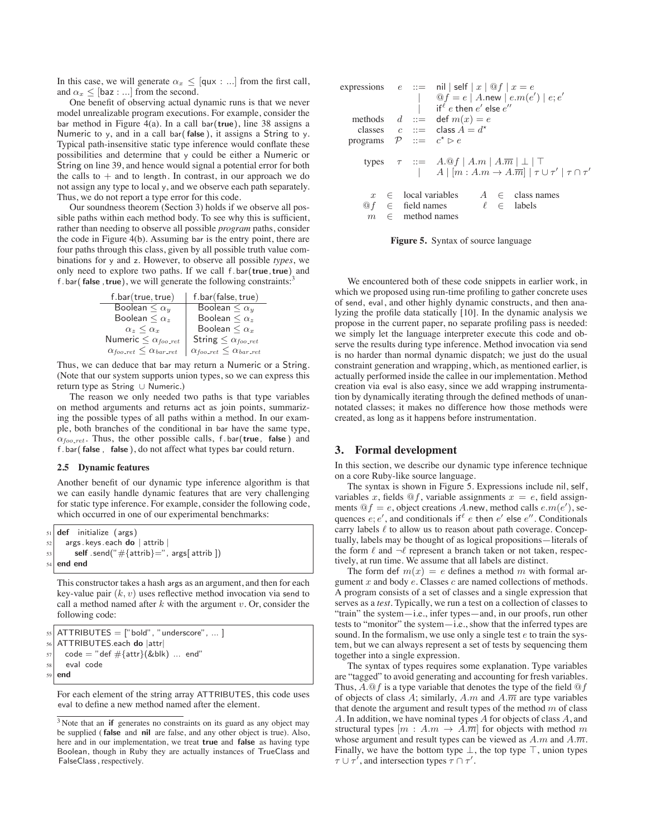In this case, we will generate  $\alpha_x \leq [\text{qux} : ...]$  from the first call, and  $\alpha_x \leq$  [baz : ...] from the second.

One benefit of observing actual dynamic runs is that we never model unrealizable program executions. For example, consider the bar method in Figure 4(a). In a call bar(**true**), line 38 assigns a Numeric to y, and in a call bar( **false** ), it assigns a String to y. Typical path-insensitive static type inference would conflate these possibilities and determine that y could be either a Numeric or String on line 39, and hence would signal a potential error for both the calls to  $+$  and to length. In contrast, in our approach we do not assign any type to local y, and we observe each path separately. Thus, we do not report a type error for this code.

Our soundness theorem (Section 3) holds if we observe all possible paths within each method body. To see why this is sufficient, rather than needing to observe all possible *program* paths, consider the code in Figure 4(b). Assuming bar is the entry point, there are four paths through this class, given by all possible truth value combinations for y and z. However, to observe all possible *types*, we only need to explore two paths. If we call f . bar(**true**, **true**) and f . bar( **false** , **true**), we will generate the following constraints:3

| f.bar(true, true)                          | f.bar(false, true)                         |
|--------------------------------------------|--------------------------------------------|
| Boolean $\leq \alpha_y$                    | Boolean $\leq \alpha_y$                    |
| Boolean $\lt \alpha_z$                     | Boolean $\lt \alpha_z$                     |
| $\alpha_{z} \leq \alpha_{x}$               | Boolean $\leq \alpha_x$                    |
| Numeric $\leq \alpha_{foo\_ret}$           | String $\leq \alpha_{foo\_ret}$            |
| $\alpha_{foo\_ret} \leq \alpha_{bar\_ret}$ | $\alpha_{foo\_ret} \leq \alpha_{bar\_ret}$ |

Thus, we can deduce that bar may return a Numeric or a String. (Note that our system supports union types, so we can express this return type as String ∪ Numeric.)

The reason we only needed two paths is that type variables on method arguments and returns act as join points, summarizing the possible types of all paths within a method. In our example, both branches of the conditional in bar have the same type, α*foo ret*. Thus, the other possible calls, f . bar(**true**, **false** ) and f . bar( **false** , **false** ), do not affect what types bar could return.

## **2.5 Dynamic features**

Another benefit of our dynamic type inference algorithm is that we can easily handle dynamic features that are very challenging for static type inference. For example, consider the following code, which occurred in one of our experimental benchmarks:

<sup>51</sup> **def** initialize (args) <sup>52</sup> args . keys.each **do** | attrib |  $\left| \mathbf{s} \right|$  **self** .send("#{attrib}=", args[attrib]) <sup>54</sup> **end end**

This constructor takes a hash args as an argument, and then for each key-value pair  $(k, v)$  uses reflective method invocation via send to call a method named after  $k$  with the argument  $v$ . Or, consider the following code:

```
55 ATTRIBUTES = ["bold", "underscore", ... ]
56 ATTRIBUTES.each do |attr|
57 code = "def \#\{\text{attr}\}(\& \text{blk}) ... end"
58 eval code
59 end
```
For each element of the string array ATTRIBUTES, this code uses eval to define a new method named after the element.

| expressions $e ::= \text{nil}   \text{self}   x   \mathcal{Q}f   x = e$ |                                      |                                                                       |  | $\bigcup$ $\mathbb{Q}f = e \mid A.\text{new} \mid e.m(e') \mid e; e'$                           |
|-------------------------------------------------------------------------|--------------------------------------|-----------------------------------------------------------------------|--|-------------------------------------------------------------------------------------------------|
|                                                                         |                                      | $\int$ if $^{\ell}$ e then $e'$ else $e''$                            |  |                                                                                                 |
|                                                                         |                                      | methods $d ::=$ def $m(x) = e$                                        |  |                                                                                                 |
|                                                                         |                                      | classes $c ::=$ class $A = d^*$                                       |  |                                                                                                 |
| programs $\mathcal{P}$ ::= $c^* \triangleright e$                       |                                      |                                                                       |  |                                                                                                 |
|                                                                         |                                      | types $\tau$ ::= $A.\mathbb{Q}f   A.m   A.\overline{m}   \perp  \top$ |  | $ \qquad A  \left[ m:A.m\rightarrow A.\overline{m} \right]   \tau \cup \tau'   \tau \cap \tau'$ |
|                                                                         |                                      | $x \in$ local variables                                               |  | $A \in \text{class names}$                                                                      |
|                                                                         | $\mathbb{Q}f \in \text{field names}$ |                                                                       |  | $\ell \in \mathsf{labels}$                                                                      |
|                                                                         |                                      | $m \in \mathbb{R}$ method names                                       |  |                                                                                                 |



We encountered both of these code snippets in earlier work, in which we proposed using run-time profiling to gather concrete uses of send, eval, and other highly dynamic constructs, and then analyzing the profile data statically [10]. In the dynamic analysis we propose in the current paper, no separate profiling pass is needed: we simply let the language interpreter execute this code and observe the results during type inference. Method invocation via send is no harder than normal dynamic dispatch; we just do the usual constraint generation and wrapping, which, as mentioned earlier, is actually performed inside the callee in our implementation. Method creation via eval is also easy, since we add wrapping instrumentation by dynamically iterating through the defined methods of unannotated classes; it makes no difference how those methods were created, as long as it happens before instrumentation.

# **3. Formal development**

In this section, we describe our dynamic type inference technique on a core Ruby-like source language.

The syntax is shown in Figure 5. Expressions include nil, self, variables x, fields  $\mathcal{Q}_f$ , variable assignments  $x = e$ , field assignments  $\mathcal{Q}f = e$ , object creations A.new, method calls  $e.m(e')$ , sequences  $e; e'$ , and conditionals if  $e$  then  $e'$  else  $e''$ . Conditionals carry labels  $\ell$  to allow us to reason about path coverage. Conceptually, labels may be thought of as logical propositions—literals of the form  $\ell$  and  $\neg \ell$  represent a branch taken or not taken, respectively, at run time. We assume that all labels are distinct.

The form def  $m(x) = e$  defines a method m with formal argument  $x$  and body  $e$ . Classes  $c$  are named collections of methods. A program consists of a set of classes and a single expression that serves as a *test*. Typically, we run a test on a collection of classes to "train" the system—i.e., infer types—and, in our proofs, run other tests to "monitor" the system—i.e., show that the inferred types are sound. In the formalism, we use only a single test  $e$  to train the system, but we can always represent a set of tests by sequencing them together into a single expression.

The syntax of types requires some explanation. Type variables are "tagged" to avoid generating and accounting for fresh variables. Thus,  $A.\mathcal{Q}f$  is a type variable that denotes the type of the field  $\mathcal{Q}f$ of objects of class A; similarly,  $A.m$  and  $A.\overline{m}$  are type variables that denote the argument and result types of the method  $m$  of class A. In addition, we have nominal types A for objects of class A, and structural types  $[m : A.m \rightarrow A.\overline{m}]$  for objects with method m whose argument and result types can be viewed as  $A.m$  and  $A.\overline{m}$ . Finally, we have the bottom type  $\perp$ , the top type  $\top$ , union types  $\tau \cup \tau'$ , and intersection types  $\tau \cap \tau'$ .

<sup>3</sup> Note that an **if** generates no constraints on its guard as any object may be supplied ( **false** and **nil** are false, and any other object is true). Also, here and in our implementation, we treat **true** and **false** as having type Boolean, though in Ruby they are actually instances of TrueClass and FalseClass , respectively.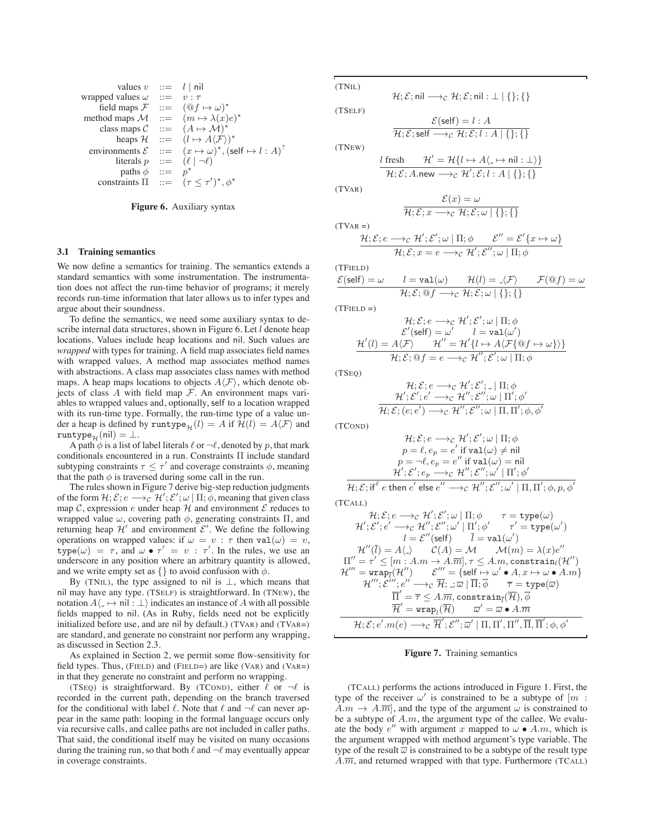values 
$$
v
$$
 ::=  $l \mid \text{nil}$   
\nwrapped values  $\omega$  ::=  $v : \tau$   
\nfield maps  $\mathcal{F}$  ::=  $(@f \mapsto \omega)^*$   
\nmethod maps  $\mathcal{M}$  ::=  $(m \mapsto \lambda(x)e)^*$   
\nclass maps  $C$  ::=  $(A \mapsto \mathcal{M})^*$   
\nheaps  $\mathcal{H}$  ::=  $(l \mapsto A\langle \mathcal{F} \rangle)^*$   
\nenvironment  $\mathcal{E}$  ::=  $(x \mapsto \omega)^*$ , (self  $\mapsto l : A$ )<sup>?</sup>  
\nliterals  $p$  ::=  $(\ell \mid \neg \ell)$   
\npaths  $\phi$  ::=  $p^*$   
\nconstraints  $\Pi$  ::=  $(\tau \leq \tau')^*, \phi^*$ 



#### **3.1 Training semantics**

We now define a semantics for training. The semantics extends a standard semantics with some instrumentation. The instrumentation does not affect the run-time behavior of programs; it merely records run-time information that later allows us to infer types and argue about their soundness.

To define the semantics, we need some auxiliary syntax to describe internal data structures, shown in Figure 6. Let *l* denote heap locations. Values include heap locations and nil. Such values are *wrapped* with types for training. A field map associates field names with wrapped values. A method map associates method names with abstractions. A class map associates class names with method maps. A heap maps locations to objects  $A\langle \mathcal{F} \rangle$ , which denote objects of class A with field map  $\mathcal F$ . An environment maps variables to wrapped values and, optionally, self to a location wrapped with its run-time type. Formally, the run-time type of a value under a heap is defined by runtype  $\mathcal{H}(l) = A$  if  $\mathcal{H}(l) = A \langle \mathcal{F} \rangle$  and runtype<sub> $H$ </sub>(nil) = ⊥.

A path  $\phi$  is a list of label literals  $\ell$  or  $\neg \ell$ , denoted by p, that mark conditionals encountered in a run. Constraints Π include standard subtyping constraints  $\tau \leq \tau'$  and coverage constraints  $\phi$ , meaning that the path  $\phi$  is traversed during some call in the run.

The rules shown in Figure 7 derive big-step reduction judgments of the form  $\mathcal{H}; \mathcal{E}; e \longrightarrow_{\mathcal{C}} \mathcal{H}'; \mathcal{E}'; \omega \mid \Pi; \phi$ , meaning that given class map  $\mathcal C$ , expression e under heap  $\mathcal H$  and environment  $\mathcal E$  reduces to wrapped value  $\omega$ , covering path  $\phi$ , generating constraints  $\Pi$ , and returning heap  $\mathcal{H}'$  and environment  $\mathcal{E}'$ . We define the following operations on wrapped values: if  $\omega = v : \tau$  then  $\text{val}(\omega) = v$ ,  $type(\omega) = \tau$ , and  $\omega \bullet \tau' = v$ :  $\tau'$ . In the rules, we use an underscore in any position where an arbitrary quantity is allowed, and we write empty set as  $\{\}$  to avoid confusion with  $\phi$ .

By (TNIL), the type assigned to nil is  $\perp$ , which means that nil may have any type. (TSELF) is straightforward. In (TNEW), the notation  $A \langle \_\mapsto \text{nil} : \bot \rangle$  indicates an instance of A with all possible fields mapped to nil. (As in Ruby, fields need not be explicitly initialized before use, and are nil by default.) (TVAR) and (TVAR=) are standard, and generate no constraint nor perform any wrapping, as discussed in Section 2.3.

As explained in Section 2, we permit some flow-sensitivity for field types. Thus, (FIELD) and (FIELD=) are like  $(VAR)$  and  $(VAR=)$ in that they generate no constraint and perform no wrapping.

(TSEQ) is straightforward. By (TCOND), either  $\ell$  or  $\neg \ell$  is recorded in the current path, depending on the branch traversed for the conditional with label  $\ell$ . Note that  $\ell$  and  $\neg \ell$  can never appear in the same path: looping in the formal language occurs only via recursive calls, and callee paths are not included in caller paths. That said, the conditional itself may be visited on many occasions during the training run, so that both  $\ell$  and  $\neg \ell$  may eventually appear in coverage constraints.

(TNIL)

$$
\mathcal{H}; \mathcal{E}; \mathsf{nil} \longrightarrow_{\mathcal{C}} \mathcal{H}; \mathcal{E}; \mathsf{nil}: \bot \mid \{\}; \{\}
$$

(TSELF)

$$
\mathcal{E}(\text{self}) = l : A
$$
  

$$
\mathcal{H}; \mathcal{E}; \text{self} \longrightarrow_{\mathcal{C}} \mathcal{H}; \mathcal{E}; l : A \mid \{\}; \{\}
$$

(TNEW)

$$
l \text{ fresh} \qquad \mathcal{H}' = \mathcal{H}\{l \mapsto A\langle \_\mapsto \mathsf{nil} : \bot \rangle\}
$$

$$
\mathcal{H}; \mathcal{E}; A.\mathtt{new} \longrightarrow_{\mathcal{C}} \mathcal{H}'; \mathcal{E}; l : A \mid \{\}; \{\}
$$

(TVAR)

$$
\mathcal{E}(x) = \omega
$$
  

$$
\mathcal{H}; \mathcal{E}; x \longrightarrow_{\mathcal{C}} \mathcal{H}; \mathcal{E}; \omega \mid \{\}; \{\}
$$

 $(TVAR = )$ 

$$
\frac{\mathcal{H}; \mathcal{E}; e \longrightarrow_{\mathcal{C}} \mathcal{H}'; \mathcal{E}'; \omega \mid \Pi; \phi \qquad \mathcal{E}'' = \mathcal{E}' \{x \mapsto \omega\}}{\mathcal{H}; \mathcal{E}; x = e \longrightarrow_{\mathcal{C}} \mathcal{H}'; \mathcal{E}''; \omega \mid \Pi; \phi}
$$

(TFIELD)

$$
\mathcal{E}(\text{self}) = \omega \qquad l = \text{val}(\omega) \qquad \mathcal{H}(l) = \langle \mathcal{F} \rangle \qquad \mathcal{F}(@f) = \omega \mathcal{H}; \mathcal{E}; @f \longrightarrow_{\mathcal{C}} \mathcal{H}; \mathcal{E}; \omega \mid \{\}; \{\}
$$

 $(TFIELD =)$ 

$$
\begin{array}{c} \mathcal{H};\mathcal{E};e\longrightarrow_C \mathcal{H}';\mathcal{E}';\omega\mid \Pi;\phi\\ \mathcal{E}'(\text{self})=\omega' \qquad l=\text{val}(\omega')\\ \mathcal{H}'(l)=A\langle \mathcal{F}\rangle \qquad \mathcal{H}''=\mathcal{H}'\{l\mapsto A\langle \mathcal{F}\{\textcircled{0}f\mapsto\omega\}\rangle\}\\ \mathcal{H};\mathcal{E};\textcircled{f}=e\longrightarrow_C \mathcal{H}'';\mathcal{E}';\omega\mid \Pi;\phi \end{array}
$$

(TSEQ)

$$
\mathcal{H}; \mathcal{E}; e \longrightarrow_{\mathcal{C}} \mathcal{H}'; \mathcal{E}'; -|\ \Pi; \phi \mathcal{H}'; \mathcal{E}'; e' \longrightarrow_{\mathcal{C}} \mathcal{H}''; \mathcal{E}''; \omega \ | \ \Pi'; \phi' \mathcal{H}; \mathcal{E}; (e; e') \longrightarrow_{\mathcal{C}} \mathcal{H}''; \mathcal{E}''; \omega \ | \ \Pi, \Pi'; \phi, \phi'
$$

(TCOND)

$$
\begin{array}{c} \mathcal{H};\mathcal{E};e\longrightarrow_{\mathcal{C}}\mathcal{H}';\mathcal{E}';\omega\mid\Pi;\phi\\ p=\ell,e_p=e'\text{ if val}(\omega)\neq\text{ nil}\\ p=\neg\ell,e_p=e''\text{ if val}(\omega)=\text{nil}\\ \mathcal{H}';\mathcal{E}';e_p\longrightarrow_{\mathcal{C}}\mathcal{H}'';\mathcal{E}'';\omega'\mid\Pi';\phi'\end{array}
$$

 $\mathcal{H};\mathcal{E};$  if  $^{\ell}$   $e$  then  $e'$  else  $e''\longrightarrow_{\mathcal{C}}\mathcal{H}'';\mathcal{E}'';\omega'\mid\Pi,\Pi';\phi,p,\phi'$ (TCALL)

$$
\begin{array}{ll} \mathcal{H};\mathcal{E};e\longrightarrow_C \mathcal{H}';\mathcal{E}';\omega\mid \Pi;\phi & \tau=\mathrm{type}(\omega)\\ \mathcal{H}';\mathcal{E}';e'\longrightarrow_C \mathcal{H}'';\mathcal{E}'';\omega'\mid \Pi';\phi' & \tau'=\mathrm{type}(\omega')\\ & l=\mathcal{E}''(\mathrm{self}) & \bar{l}=\mathrm{val}(\omega')\\ \mathcal{H}''(\bar{l})=\mathcal{A}\langle\mathcal{P} & \mathcal{C}(A)=\mathcal{M} & \mathcal{M}(m)=\lambda(x)e''\\ \Pi''=\tau'\leq[m:A.m\rightarrow A.\overline{m}],\tau\leq A.m,\mathrm{constraint}(\mathcal{H}'')\\ \mathcal{H}'''=\mathrm{wrap}_{\bar{l}}(\mathcal{H}'') & \mathcal{E}'''=\{\mathrm{self}\mapsto\omega'\bullet A,x\mapsto\omega\bullet A.m\}\\ & \mathcal{H}''';\mathcal{E}''';e''\longrightarrow_C \overline{\mathcal{H}};\mathcal{Z}\sqcup\overline{\Pi};\overline{\phi}\hspace{0.5cm}\overline{\tau}=\mathrm{type}(\overline{\omega})\\ & \overline{\Pi}'=\overline{\tau}\leq A.\overline{m},\mathrm{constraint}_{\bar{l}}(\overline{\mathcal{H}}),\overline{\phi}\\ & \overline{\mathcal{H}}'=\mathrm{wrap}_{l}(\overline{\mathcal{H}})\hspace{0.5cm}\overline{\omega}'=\overline{\omega\bullet A.\overline{m}}\\ & \mathcal{H};\mathcal{E};e'.m(e)\longrightarrow_C \overline{\mathcal{H}}';\mathcal{E}'';\overline{\omega}'\mid \Pi,\Pi',\Pi'',\overline{\Pi};\phi,\phi' \end{array}
$$

#### **Figure 7.** Training semantics

(TCALL) performs the actions introduced in Figure 1. First, the type of the receiver  $\omega'$  is constrained to be a subtype of  $[m]$ :  $A.m \rightarrow A.\overline{m}$ , and the type of the argument  $\omega$  is constrained to be a subtype of  $A.m$ , the argument type of the callee. We evaluate the body  $e''$  with argument x mapped to  $\omega \bullet A.m$ , which is the argument wrapped with method argument's type variable. The type of the result  $\overline{\omega}$  is constrained to be a subtype of the result type  $A.\overline{m}$ , and returned wrapped with that type. Furthermore (TCALL)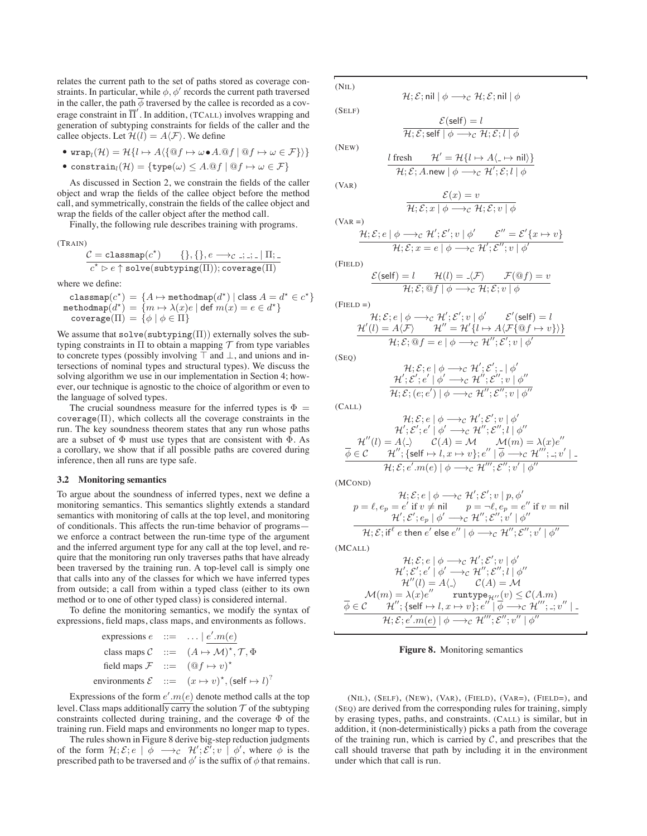relates the current path to the set of paths stored as coverage constraints. In particular, while  $\phi$ ,  $\phi'$  records the current path traversed in the caller, the path  $\overline{\phi}$  traversed by the callee is recorded as a coverage constraint in  $\overline{\Pi}'$ . In addition, (TCALL) involves wrapping and generation of subtyping constraints for fields of the caller and the callee objects. Let  $\mathcal{H}(l) = A\langle \mathcal{F} \rangle$ . We define

$$
\bullet\ \text{wrap}_l(\mathcal{H})=\mathcal{H}\{l\mapsto A\langle\{\textcircled{a} f\mapsto \omega\bullet A.\textcircled{a} f\ |\ \textcircled{a} f\mapsto \omega\in\mathcal{F}\}\rangle\}
$$

• 
$$
\mathbf{constrain}_{l}(\mathcal{H}) = \{ \text{type}(\omega) \leq A.\mathbf{Q}f \mid \mathbf{Q}f \mapsto \omega \in \mathcal{F} \}
$$

As discussed in Section 2, we constrain the fields of the caller object and wrap the fields of the callee object before the method call, and symmetrically, constrain the fields of the callee object and wrap the fields of the caller object after the method call.

Finally, the following rule describes training with programs.

(TRAIN)

$$
\mathcal{C} = \text{classmap}(c^*) \qquad \{\}, \{\}, e \longrightarrow_{\mathcal{C} \text{ -}; \text{ -}; \text{ -}} \Pi; \newline \text{ -}c^* \rhd e \uparrow \text{solve}(\text{subtyping}(\Pi)); \text{coverage}(\Pi)
$$

where we define:

classmap $(c^*) = \{A \mapsto \text{methodmap}(d^*) \mid \text{class } A = d^* \in c^*\}$  $\mathtt{methodmap}(d^\star) \,=\, \{m \mapsto \lambda(x) e \mid \mathtt{def} \ m(x) = e \in d^\star\}$  $\text{coverage}(\Pi) = {\phi | \phi \in \Pi}$ 

We assume that  $\texttt{solve}(\texttt{subtyping}(\Pi))$  externally solves the subtyping constraints in  $\Pi$  to obtain a mapping  $\mathcal T$  from type variables to concrete types (possibly involving  $\top$  and  $\bot$ , and unions and intersections of nominal types and structural types). We discuss the solving algorithm we use in our implementation in Section 4; however, our technique is agnostic to the choice of algorithm or even to the language of solved types.

The crucial soundness measure for the inferred types is  $\Phi =$  $\text{coverage}(\Pi)$ , which collects all the coverage constraints in the run. The key soundness theorem states that any run whose paths are a subset of  $\Phi$  must use types that are consistent with  $\Phi$ . As a corollary, we show that if all possible paths are covered during inference, then all runs are type safe.

## **3.2 Monitoring semantics**

To argue about the soundness of inferred types, next we define a monitoring semantics. This semantics slightly extends a standard semantics with monitoring of calls at the top level, and monitoring of conditionals. This affects the run-time behavior of programs we enforce a contract between the run-time type of the argument and the inferred argument type for any call at the top level, and require that the monitoring run only traverses paths that have already been traversed by the training run. A top-level call is simply one that calls into any of the classes for which we have inferred types from outside; a call from within a typed class (either to its own method or to one of other typed class) is considered internal.

To define the monitoring semantics, we modify the syntax of expressions, field maps, class maps, and environments as follows.

expressions 
$$
e ::= \dots | e'.m(e)
$$
  
\nclass maps  $C ::= (A \mapsto M)^*, \mathcal{T}, \Phi$   
\nfield maps  $\mathcal{F} ::= (\mathbb{Q}f \mapsto v)^*$   
\nenviromments  $\mathcal{E} ::= (x \mapsto v)^*, (\text{self} \mapsto l)^2$ 

Expressions of the form  $e'.m(e)$  denote method calls at the top level. Class maps additionally carry the solution  $\mathcal T$  of the subtyping constraints collected during training, and the coverage Φ of the training run. Field maps and environments no longer map to types.

The rules shown in Figure 8 derive big-step reduction judgments of the form  $\mathcal{H}; \mathcal{E}; e \mid \phi \longrightarrow_c \mathcal{H}'; \mathcal{E}'; v \mid \phi'$ , where  $\phi$  is the prescribed path to be traversed and  $\phi'$  is the suffix of  $\phi$  that remains.

$$
(\mathrm{N}\mathrm{I}\mathrm{L})
$$

$$
\mathcal{H};\mathcal{E};\mathsf{nil}\mid \phi\longrightarrow_\mathcal{C}\mathcal{H};\mathcal{E};\mathsf{nil}\mid \phi
$$

(SELF)

(NEW)

$$
\frac{l \text{ fresh}}{\mathcal{H}; \mathcal{E}; A.\text{new} \mid \phi \longrightarrow_{\mathcal{C}} \mathcal{H}'; \mathcal{E}; l \mid \phi}
$$

 $\mathcal{E}(x) = v$  $\overline{\mathcal{H}; \mathcal{E}; x \mid \phi \longrightarrow_{\mathcal{C}} \mathcal{H}; \mathcal{E}; v \mid \phi}$ 

 $\mathcal{E}(\mathsf{self}) = l$  $\overline{\mathcal{H}; \mathcal{E}$ ; self  $\phi \longrightarrow_{\mathcal{C}} \mathcal{H}; \mathcal{E}; l \mid \phi$ 

(VAR)

 $(VAR =)$ 

$$
\frac{\mathcal{H};\mathcal{E};e \mid \phi \longrightarrow_{\mathcal{C}} \mathcal{H}';\mathcal{E}';v \mid \phi' \qquad \mathcal{E}'' = \mathcal{E}'\{x \mapsto v\}}{\mathcal{H};\mathcal{E};x = e \mid \phi \longrightarrow_{\mathcal{C}} \mathcal{H}';\mathcal{E}'';v \mid \phi'}
$$

(FIELD)

$$
\frac{\mathcal{E}(\text{self}) = l \qquad \mathcal{H}(l) = \langle \mathcal{F} \rangle \qquad \mathcal{F}(@f) = v}{\mathcal{H}; \mathcal{E}; \mathcal{Q}f \mid \phi \longrightarrow_{\mathcal{C}} \mathcal{H}; \mathcal{E}; v \mid \phi}
$$

 $(FIELD =)$ 

$$
\mathcal{H}; \mathcal{E}; e \mid \phi \longrightarrow_{\mathcal{C}} \mathcal{H}'; \mathcal{E}'; v \mid \phi' \qquad \mathcal{E}'(\text{self}) = l
$$
  

$$
\mathcal{H}'(l) = A\langle \mathcal{F} \rangle \qquad \mathcal{H}'' = \mathcal{H}'\{l \mapsto A\langle \mathcal{F}\{\textcircled{a}f \mapsto v\} \rangle\}
$$
  

$$
\mathcal{H}; \mathcal{E}; \textcircled{a}f = e \mid \phi \longrightarrow_{\mathcal{C}} \mathcal{H}''; \mathcal{E}'; v \mid \phi'
$$

 $(SEO)$ 

$$
\mathcal{H}; \mathcal{E}; e \mid \phi \longrightarrow_{\mathcal{C}} \mathcal{H}'; \mathcal{E}'; - \mid \phi' \mathcal{H}'; \mathcal{E}'; e' \mid \phi' \longrightarrow_{\mathcal{C}} \mathcal{H}''; \mathcal{E}''; v \mid \phi'' \mathcal{H}; \mathcal{E}; (e; e') \mid \phi \longrightarrow_{\mathcal{C}} \mathcal{H}''; \mathcal{E}''; v \mid \phi''
$$

(CALL)

$$
\begin{array}{c} \mathcal{H};\mathcal{E};e\mid \phi\longrightarrow_{\mathcal{C}}\mathcal{H}';\mathcal{E}';v\mid \phi'\\ \mathcal{H}';\mathcal{E}';e'\mid \phi'\longrightarrow_{\mathcal{C}}\mathcal{H}'';\mathcal{E}'';l\mid \phi''\\ \mathcal{H}''(l)=A\langle \cdot\rangle\qquad\mathcal{C}(A)=\mathcal{M}\qquad \mathcal{M}(m)=\lambda(x)e''\\ \overline{\phi}\in \mathcal{C}\qquad \mathcal{H}'';\{\text{self}\mapsto l,x\mapsto v\};e''\mid \overline{\phi}\longrightarrow_{\mathcal{C}}\mathcal{H}''';\div v'\mid -\\ \mathcal{H};\mathcal{E};e'.m(e)\mid \phi\longrightarrow_{\mathcal{C}}\mathcal{H}''';\mathcal{E}'';v'\mid \phi'' \end{array}
$$

(MCOND)

$$
\mathcal{H}; \mathcal{E}; e \mid \phi \longrightarrow_{\mathcal{C}} \mathcal{H}'; \mathcal{E}'; v \mid p, \phi'
$$
\n
$$
p = \ell, e_p = e' \text{ if } v \neq \text{nil} \qquad p = \neg \ell, e_p = e'' \text{ if } v = \text{nil}
$$
\n
$$
\mathcal{H}'; \mathcal{E}'; e_p \mid \phi' \longrightarrow_{\mathcal{C}} \mathcal{H}''; \mathcal{E}''; v' \mid \phi''
$$
\n
$$
\mathcal{H}; \mathcal{E}; \text{if}^{\ell} e \text{ then } e' \text{ else } e'' \mid \phi \longrightarrow_{\mathcal{C}} \mathcal{H}''; \mathcal{E}''; v' \mid \phi''
$$

(MCALL)

$$
\begin{array}{c} \mathcal{H};\mathcal{E};e\mid \phi\longrightarrow_{\mathcal{C}}\mathcal{H}';\mathcal{E}';v\mid \phi'\\ \mathcal{H}';\mathcal{E}';e'\mid \phi'\longrightarrow_{\mathcal{C}}\mathcal{H}'';\mathcal{E}'';l\mid \phi''\\ \mathcal{H}''(l)=A\langle \mathcal{E}\rangle\qquad \ \ \mathcal{C}(A)=\mathcal{M}\\ \mathcal{M}(m)=\lambda(x)e''\qquad \ \ \mathbf{runtype}_{\mathcal{H}''}(v)\leq\mathcal{C}(A.m)\\ \overline{\phi}\in \mathcal{C}\qquad \mathcal{H}'';\{\text{self}\mapsto l,x\mapsto v\};e''\mid \overline{\phi}\longrightarrow_{\mathcal{C}}\mathcal{H}''';\mathcal{V}''\mid -\\ \mathcal{H};\mathcal{E};\underline{e'.m(e)}\mid \phi\longrightarrow_{\mathcal{C}}\mathcal{H}''';\mathcal{E}'';v''\mid \phi'' \end{array}.
$$

## **Figure 8.** Monitoring semantics

(NIL), (SELF), (NEW), (VAR), (FIELD), (VAR=), (FIELD=), and (SEQ) are derived from the corresponding rules for training, simply by erasing types, paths, and constraints. (CALL) is similar, but in addition, it (non-deterministically) picks a path from the coverage of the training run, which is carried by  $C$ , and prescribes that the call should traverse that path by including it in the environment under which that call is run.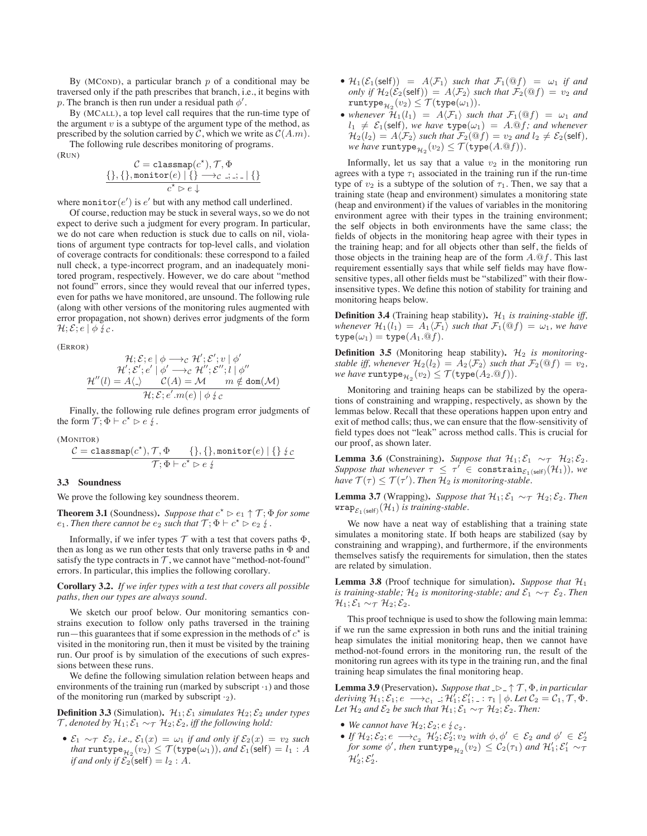By (MCOND), a particular branch  $p$  of a conditional may be traversed only if the path prescribes that branch, i.e., it begins with p. The branch is then run under a residual path  $\phi'$ .

By (MCALL), a top level call requires that the run-time type of the argument  $v$  is a subtype of the argument type of the method, as prescribed by the solution carried by C, which we write as  $C(A.m)$ .

The following rule describes monitoring of programs. (RUN)

$$
\mathcal{C} = \texttt{classmap}(c^\star), \mathcal{T}, \Phi \\ \underbrace{\{\}, \{\}, \texttt{monitor}(e) \mid \{\} \longrightarrow c \texttt{.}; \texttt{.}; \texttt{-} | \ \{\}}_{c^\star \vartriangleright e \; \downarrow}
$$

where monitor $(e')$  is  $e'$  but with any method call underlined.

Of course, reduction may be stuck in several ways, so we do not expect to derive such a judgment for every program. In particular, we do not care when reduction is stuck due to calls on nil, violations of argument type contracts for top-level calls, and violation of coverage contracts for conditionals: these correspond to a failed null check, a type-incorrect program, and an inadequately monitored program, respectively. However, we do care about "method not found" errors, since they would reveal that our inferred types, even for paths we have monitored, are unsound. The following rule (along with other versions of the monitoring rules augmented with error propagation, not shown) derives error judgments of the form  $\mathcal{H}; \mathcal{E}; e \mid \phi \varphi c.$ 

(ERROR)

$$
\mathcal{H}; \mathcal{E}; e \mid \phi \longrightarrow_{\mathcal{C}} \mathcal{H}'; \mathcal{E}'; v \mid \phi'
$$
  

$$
\mathcal{H}'; \mathcal{E}'; e' \mid \phi' \longrightarrow_{\mathcal{C}} \mathcal{H}''; \mathcal{E}''; l \mid \phi''
$$
  

$$
\mathcal{H}''(l) = A\langle \_ \rangle \qquad \mathcal{C}(A) = \mathcal{M} \qquad m \notin \text{dom}(\mathcal{M})
$$
  

$$
\mathcal{H}; \mathcal{E}; e'.m(e) \mid \phi \nmid_{\mathcal{C}}
$$

Finally, the following rule defines program error judgments of the form  $\mathcal{T}; \Phi \vdash c^* \triangleright e \nmid$ .

(MONITOR)

$$
\frac{\mathcal{C} = \texttt{classmap}(c^{\star}), \mathcal{T}, \Phi \qquad \{\}, \{\}, \texttt{monitor}(e) \mid \{\} \nleq c}{\mathcal{T}; \Phi \vdash c^{\star} \rhd e \nleq c}
$$

# **3.3 Soundness**

We prove the following key soundness theorem.

**Theorem 3.1** (Soundness). *Suppose that*  $c^* \triangleright e_1 \uparrow \mathcal{T}$ ;  $\Phi$  *for some* e<sub>1</sub>. Then there cannot be e<sub>2</sub> such that  $\mathcal{T}; \Phi \vdash c^* \triangleright e_2 \nmid$ .

Informally, if we infer types  $T$  with a test that covers paths  $\Phi$ , then as long as we run other tests that only traverse paths in  $\Phi$  and satisfy the type contracts in  $\mathcal T$ , we cannot have "method-not-found" errors. In particular, this implies the following corollary.

**Corollary 3.2.** *If we infer types with a test that covers all possible paths, then our types are always sound.*

We sketch our proof below. Our monitoring semantics constrains execution to follow only paths traversed in the training run—this guarantees that if some expression in the methods of  $c^*$  is visited in the monitoring run, then it must be visited by the training run. Our proof is by simulation of the executions of such expressions between these runs.

We define the following simulation relation between heaps and environments of the training run (marked by subscript  $\cdot_1$ ) and those of the monitoring run (marked by subscript  $\cdot_2$ ).

**Definition 3.3** (Simulation).  $\mathcal{H}_1$ ;  $\mathcal{E}_1$  *simulates*  $\mathcal{H}_2$ ;  $\mathcal{E}_2$  *under types*  $\mathcal{T}$ *, denoted by*  $\mathcal{H}_1$ ;  $\mathcal{E}_1 \sim_{\mathcal{T}} \mathcal{H}_2$ ;  $\mathcal{E}_2$ *, iff the following hold:* 

•  $\mathcal{E}_1 \sim_{\mathcal{T}} \mathcal{E}_2$ , *i.e.*,  $\mathcal{E}_1(x) = \omega_1$  *if and only if*  $\mathcal{E}_2(x) = \omega_2$  *such that* runtype $\mu_2(v_2) \leq \mathcal{T}$ (type( $\omega_1$ ))*, and*  $\mathcal{E}_1$ (self) =  $\overline{l}_1$  : A *if and only if*  $\mathcal{E}_2$ (self) =  $l_2$  : A.

- $\mathcal{H}_1(\mathcal{E}_1(\text{self})) = A \langle \mathcal{F}_1 \rangle$  such that  $\mathcal{F}_1(\mathfrak{D}f) = \omega_1$  if and *only if*  $\mathcal{H}_2(\mathcal{E}_2(\text{self})) = A\langle \mathcal{F}_2 \rangle$  such that  $\mathcal{F}_2(\mathcal{Q}f) = v_2$  and  $\texttt{runtype}_{\mathcal{H}_2}(v_2) \leq \mathcal{T}(\texttt{type}(\omega_1)).$
- whenever  $\mathcal{H}_1(l_1) = A \langle \mathcal{F}_1 \rangle$  such that  $\mathcal{F}_1(\mathbb{Q} f) = \omega_1$  and  $l_1 \neq \mathcal{E}_1$ (self)*, we have* type( $\omega_1$ ) = A.@f; and whenever  $\mathcal{H}_2(l_2) = A \langle \mathcal{F}_2 \rangle$  such that  $\mathcal{F}_2(\mathfrak{D}f) = v_2$  and  $l_2 \neq \mathcal{E}_2(\textsf{self})$ *, we have* runtype<sub> $\mathcal{H}_2(v_2) \leq \mathcal{T}(\text{type}(A.\mathcal{Q}_f)).$ </sub>

Informally, let us say that a value  $v_2$  in the monitoring run agrees with a type  $\tau_1$  associated in the training run if the run-time type of  $v_2$  is a subtype of the solution of  $\tau_1$ . Then, we say that a training state (heap and environment) simulates a monitoring state (heap and environment) if the values of variables in the monitoring environment agree with their types in the training environment; the self objects in both environments have the same class; the fields of objects in the monitoring heap agree with their types in the training heap; and for all objects other than self, the fields of those objects in the training heap are of the form  $A.\mathbb{Q}f$ . This last requirement essentially says that while self fields may have flowsensitive types, all other fields must be "stabilized" with their flowinsensitive types. We define this notion of stability for training and monitoring heaps below.

**Definition 3.4** (Training heap stability).  $\mathcal{H}_1$  *is training-stable iff,* whenever  $\mathcal{H}_1(l_1) = A_1 \langle \mathcal{F}_1 \rangle$  such that  $\mathcal{F}_1(\mathcal{Q}f) = \omega_1$ , we have  $type(\omega_1) = type(A_1 \cdot \mathbb{Q}f).$ 

**Definition 3.5** (Monitoring heap stability).  $H_2$  *is monitoring*stable iff, whenever  $\mathcal{H}_2(l_2) = A_2 \langle \mathcal{F}_2 \rangle$  such that  $\mathcal{F}_2(\mathbb{Q} f) = v_2$ , *we have* runtype<sub> $\mathcal{H}_2$ </sub> $(v_2) \leq \mathcal{T}$ (type $(A_2 \cdot \mathcal{Q} f)$ ).

Monitoring and training heaps can be stabilized by the operations of constraining and wrapping, respectively, as shown by the lemmas below. Recall that these operations happen upon entry and exit of method calls; thus, we can ensure that the flow-sensitivity of field types does not "leak" across method calls. This is crucial for our proof, as shown later.

**Lemma 3.6** (Constraining). *Suppose that*  $\mathcal{H}_1$ ;  $\mathcal{E}_1 \sim_{\mathcal{T}} \mathcal{H}_2$ ;  $\mathcal{E}_2$ . *Suppose that whenever*  $\tau \leq \tau' \in \text{constraint}_{\mathcal{E}_1(\text{self})}(\mathcal{H}_1)$ *, we have*  $\mathcal{T}(\tau) \leq \mathcal{T}(\tau')$ . *Then*  $\overline{\mathcal{H}}_2$  *is monitoring-stable.* 

**Lemma 3.7** (Wrapping). *Suppose that*  $\mathcal{H}_1$ ;  $\mathcal{E}_1 \sim_{\mathcal{T}} \mathcal{H}_2$ ;  $\mathcal{E}_2$ *. Then*  $\mathtt{wrap}_{\mathcal{E}_1(\text{self})}(\mathcal{H}_1)$  *is training-stable.* 

We now have a neat way of establishing that a training state simulates a monitoring state. If both heaps are stabilized (say by constraining and wrapping), and furthermore, if the environments themselves satisfy the requirements for simulation, then the states are related by simulation.

**Lemma 3.8** (Proof technique for simulation). *Suppose that*  $\mathcal{H}_1$ *is training-stable;*  $H_2$  *is monitoring-stable; and*  $\mathcal{E}_1 \sim_{\mathcal{T}} \mathcal{E}_2$ *. Then*  $\mathcal{H}_1; \mathcal{E}_1 \sim_{\mathcal{T}} \mathcal{H}_2; \mathcal{E}_2.$ 

This proof technique is used to show the following main lemma: if we run the same expression in both runs and the initial training heap simulates the initial monitoring heap, then we cannot have method-not-found errors in the monitoring run, the result of the monitoring run agrees with its type in the training run, and the final training heap simulates the final monitoring heap.

**Lemma 3.9** (Preservation)**.** *Suppose that* - ↑ T , Φ*, in particular* deriving  $\mathcal{H}_1$ ;  $\mathcal{E}_1$ ;  $e \longrightarrow_{\mathcal{C}_1}$   $\therefore \mathcal{H}_1'$ ;  $\mathcal{E}_1'$ ;  $\therefore \tau_1 \mid \phi$ . Let  $\mathcal{C}_2 = \mathcal{C}_1$ ,  $\mathcal{T}, \Phi$ . *Let*  $\mathcal{H}_2$  *and*  $\mathcal{E}_2$  *be such that*  $\mathcal{H}_1$ ;  $\mathcal{E}_1 \sim \tau$   $\mathcal{H}_2$ ;  $\mathcal{E}_2$ *. Then:* 

- We cannot have  $\mathcal{H}_2$ ;  $\mathcal{E}_2$ ;  $e \nmid c_2$ .
- If  $\mathcal{H}_2; \mathcal{E}_2; e \longrightarrow_{\mathcal{C}_2} \mathcal{H}'_2; \mathcal{E}'_2; v_2 \text{ with } \phi, \phi' \in \mathcal{E}_2 \text{ and } \phi' \in \mathcal{E}'_2$ for some  $\phi'$ , then  $\text{runtype}_{\mathcal{H}_2}(v_2) \leq C_2(\tau_1)$  and  $\mathcal{H}'_1$ ;  $\mathcal{E}'_1 \sim \tau_1$  $\mathcal{H}_2'; \mathcal{E}_2'.$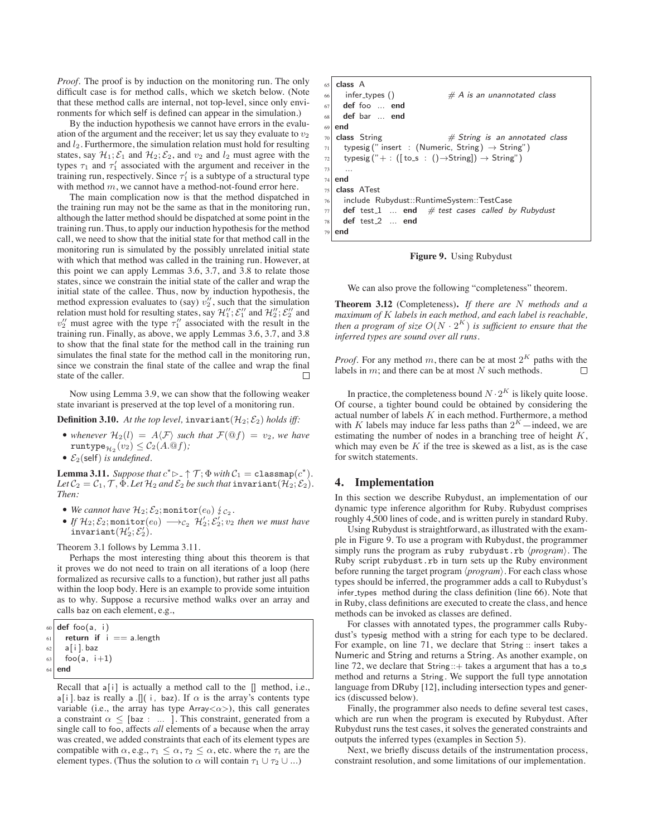*Proof.* The proof is by induction on the monitoring run. The only difficult case is for method calls, which we sketch below. (Note that these method calls are internal, not top-level, since only environments for which self is defined can appear in the simulation.)

By the induction hypothesis we cannot have errors in the evaluation of the argument and the receiver; let us say they evaluate to  $v_2$ and  $l_2$ . Furthermore, the simulation relation must hold for resulting states, say  $\mathcal{H}_1$ ;  $\mathcal{E}_1$  and  $\mathcal{H}_2$ ;  $\mathcal{E}_2$ , and  $v_2$  and  $l_2$  must agree with the types  $\tau_1$  and  $\tau'_1$  associated with the argument and receiver in the training run, respectively. Since  $\tau_1'$  is a subtype of a structural type with method  $m$ , we cannot have a method-not-found error here.

The main complication now is that the method dispatched in the training run may not be the same as that in the monitoring run, although the latter method should be dispatched at some point in the training run. Thus, to apply our induction hypothesis for the method call, we need to show that the initial state for that method call in the monitoring run is simulated by the possibly unrelated initial state with which that method was called in the training run. However, at this point we can apply Lemmas 3.6, 3.7, and 3.8 to relate those states, since we constrain the initial state of the caller and wrap the initial state of the callee. Thus, now by induction hypothesis, the method expression evaluates to (say)  $v_2''$ , such that the simulation relation must hold for resulting states, say  $\mathcal{H}_1''$ ;  $\mathcal{E}_1''$  and  $\mathcal{H}_2''$ ;  $\mathcal{E}_2''$  and  $\nu_2''$  must agree with the type  $\tau_1''$  associated with the result in the training run. Finally, as above, we apply Lemmas 3.6, 3.7, and 3.8 to show that the final state for the method call in the training run simulates the final state for the method call in the monitoring run, since we constrain the final state of the callee and wrap the final state of the caller. П

Now using Lemma 3.9, we can show that the following weaker state invariant is preserved at the top level of a monitoring run.

**Definition 3.10.** At the top level, invariant  $(\mathcal{H}_2; \mathcal{E}_2)$  holds iff:

- whenever  $\mathcal{H}_2(l) = A\langle \mathcal{F} \rangle$  such that  $\mathcal{F}(\mathcal{Q}f) = v_2$ , we have  $r$ untype<sub> $\mathcal{H}_2(v_2) \leq \mathcal{C}_2(A.\mathcal{Q}f)$ ;</sub>
- $\mathcal{E}_2$ (self) *is undefined*.

**Lemma 3.11.** *Suppose that*  $c^* \rhd$   $\uparrow \uparrow$   $\uparrow$   $\uparrow$   $\uparrow$   $\uparrow$   $\uparrow$   $\uparrow$   $\uparrow$   $\uparrow$   $\uparrow$   $\downarrow$   $\downarrow$   $\downarrow$   $\downarrow$   $\downarrow$   $\downarrow$   $\downarrow$   $\downarrow$   $\downarrow$   $\downarrow$   $\downarrow$   $\downarrow$   $\downarrow$   $\downarrow$   $\downarrow$   $\downarrow$   $\downarrow$   $\downarrow$   $\downarrow$   $\downarrow$   $Let \mathcal{C}_2 = \mathcal{C}_1, \mathcal{T}, \tilde{\Phi}.$  Let  $\mathcal{H}_2$  *and*  $\mathcal{E}_2$  *be such that* invariant $(\mathcal{H}_2; \mathcal{E}_2)$ *. Then:*

- We cannot have  $\mathcal{H}_2$ ;  $\mathcal{E}_2$ ; monitor( $e_0$ )  $\sharp c_2$ .
- If  $\mathcal{H}_2$ ;  $\mathcal{E}_2$ ; monitor( $e_0$ )  $\longrightarrow_{\mathcal{C}_2} \mathcal{H}'_2$ ;  $\mathcal{E}'_2$ ;  $v_2$  then we must have  $\texttt{invariant}(\mathcal{H}_2'; \mathcal{E}_2').$

Theorem 3.1 follows by Lemma 3.11.

Perhaps the most interesting thing about this theorem is that it proves we do not need to train on all iterations of a loop (here formalized as recursive calls to a function), but rather just all paths within the loop body. Here is an example to provide some intuition as to why. Suppose a recursive method walks over an array and calls baz on each element, e.g.,

```
60 def foo(a, i )
61 return if i == a.length
```

```
62 a[i]. baz
63 foo(a, i+1)
```

```
64 end
```
Recall that  $a[i]$  is actually a method call to the  $[]$  method, i.e., a[i] baz is really a  $\left[\right]$  (i, baz). If  $\alpha$  is the array's contents type variable (i.e., the array has type Array $\langle \alpha \rangle$ ), this call generates a constraint  $\alpha \leq$  [baz : ... ]. This constraint, generated from a single call to foo, affects *all* elements of a because when the array was created, we added constraints that each of its element types are compatible with  $\alpha$ , e.g.,  $\tau_1 \leq \alpha$ ,  $\tau_2 \leq \alpha$ , etc. where the  $\tau_i$  are the element types. (Thus the solution to  $\alpha$  will contain  $\tau_1 \cup \tau_2 \cup ...$ )

| 65 | class A                                                                          |
|----|----------------------------------------------------------------------------------|
| 66 | infer_types ()<br>$# A$ is an unannotated class                                  |
| 67 | def foo  end                                                                     |
| 68 | def bar  end                                                                     |
| 69 | end                                                                              |
| 70 | class String<br># String is an annotated class                                   |
| 71 | typesig (" insert : (Numeric, String) $\rightarrow$ String")                     |
|    | $\tau_2$ typesig ("+ : ([to_s : () $\rightarrow$ String]) $\rightarrow$ String") |
| 73 | $\ddotsc$                                                                        |
| 74 | end                                                                              |
| 75 | class ATest                                                                      |
| 76 | include Rubydust::RuntimeSystem::TestCase                                        |
| 77 | def test_1  end $#$ test cases called by Rubydust                                |
| 78 | def test <sub>-2</sub> end                                                       |
| 79 | end                                                                              |

**Figure 9.** Using Rubydust

We can also prove the following "completeness" theorem.

**Theorem 3.12** (Completeness)**.** *If there are* N *methods and a maximum of* K *labels in each method, and each label is reachable, then a program of size*  $O(N \cdot 2^K)$  *is sufficient to ensure that the inferred types are sound over all runs.*

*Proof.* For any method m, there can be at most  $2^K$  paths with the labels in  $m$ ; and there can be at most  $N$  such methods.

In practice, the completeness bound  $N \cdot 2^K$  is likely quite loose. Of course, a tighter bound could be obtained by considering the actual number of labels  $K$  in each method. Furthermore, a method with K labels may induce far less paths than  $2^K$ —indeed, we are estimating the number of nodes in a branching tree of height  $K$ , which may even be  $K$  if the tree is skewed as a list, as is the case for switch statements.

# **4. Implementation**

In this section we describe Rubydust, an implementation of our dynamic type inference algorithm for Ruby. Rubydust comprises roughly 4,500 lines of code, and is written purely in standard Ruby.

Using Rubydust is straightforward, as illustrated with the example in Figure 9. To use a program with Rubydust, the programmer simply runs the program as ruby rubydust.rb  $\langle program \rangle$ . The Ruby script rubydust.rb in turn sets up the Ruby environment before running the target program  $\langle program \rangle$ . For each class whose types should be inferred, the programmer adds a call to Rubydust's infer types method during the class definition (line 66). Note that in Ruby, class definitions are executed to create the class, and hence methods can be invoked as classes are defined.

For classes with annotated types, the programmer calls Rubydust's typesig method with a string for each type to be declared. For example, on line 71, we declare that String :: insert takes a Numeric and String and returns a String. As another example, on line 72, we declare that  $String::+$  takes a argument that has a to s method and returns a String. We support the full type annotation language from DRuby [12], including intersection types and generics (discussed below).

Finally, the programmer also needs to define several test cases, which are run when the program is executed by Rubydust. After Rubydust runs the test cases, it solves the generated constraints and outputs the inferred types (examples in Section 5).

Next, we briefly discuss details of the instrumentation process, constraint resolution, and some limitations of our implementation.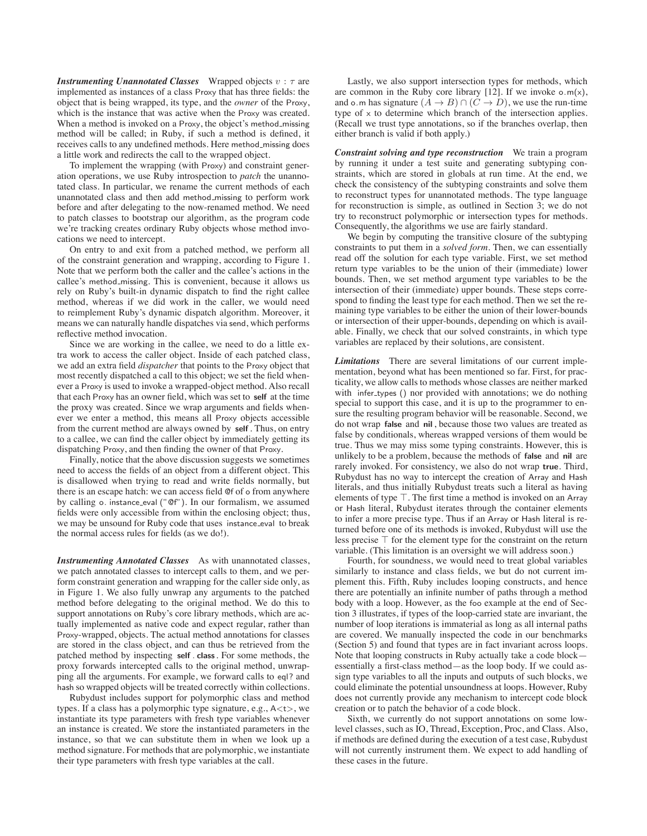*Instrumenting Unannotated Classes* Wrapped objects v : τ are implemented as instances of a class Proxy that has three fields: the object that is being wrapped, its type, and the *owner* of the Proxy, which is the instance that was active when the Proxy was created. When a method is invoked on a Proxy, the object's method\_missing method will be called; in Ruby, if such a method is defined, it receives calls to any undefined methods. Here method\_missing does a little work and redirects the call to the wrapped object.

To implement the wrapping (with Proxy) and constraint generation operations, we use Ruby introspection to *patch* the unannotated class. In particular, we rename the current methods of each unannotated class and then add method missing to perform work before and after delegating to the now-renamed method. We need to patch classes to bootstrap our algorithm, as the program code we're tracking creates ordinary Ruby objects whose method invocations we need to intercept.

On entry to and exit from a patched method, we perform all of the constraint generation and wrapping, according to Figure 1. Note that we perform both the caller and the callee's actions in the callee's method missing. This is convenient, because it allows us rely on Ruby's built-in dynamic dispatch to find the right callee method, whereas if we did work in the caller, we would need to reimplement Ruby's dynamic dispatch algorithm. Moreover, it means we can naturally handle dispatches via send, which performs reflective method invocation.

Since we are working in the callee, we need to do a little extra work to access the caller object. Inside of each patched class, we add an extra field *dispatcher* that points to the Proxy object that most recently dispatched a call to this object; we set the field whenever a Proxy is used to invoke a wrapped-object method. Also recall that each Proxy has an owner field, which was set to **self** at the time the proxy was created. Since we wrap arguments and fields whenever we enter a method, this means all Proxy objects accessible from the current method are always owned by **self** . Thus, on entry to a callee, we can find the caller object by immediately getting its dispatching Proxy, and then finding the owner of that Proxy.

Finally, notice that the above discussion suggests we sometimes need to access the fields of an object from a different object. This is disallowed when trying to read and write fields normally, but there is an escape hatch: we can access field @f of o from anywhere by calling o. instance eval ("@f"). In our formalism, we assumed fields were only accessible from within the enclosing object; thus, we may be unsound for Ruby code that uses instance\_eval to break the normal access rules for fields (as we do!).

*Instrumenting Annotated Classes* As with unannotated classes, we patch annotated classes to intercept calls to them, and we perform constraint generation and wrapping for the caller side only, as in Figure 1. We also fully unwrap any arguments to the patched method before delegating to the original method. We do this to support annotations on Ruby's core library methods, which are actually implemented as native code and expect regular, rather than Proxy-wrapped, objects. The actual method annotations for classes are stored in the class object, and can thus be retrieved from the patched method by inspecting **self** . **class** . For some methods, the proxy forwards intercepted calls to the original method, unwrapping all the arguments. For example, we forward calls to eql? and hash so wrapped objects will be treated correctly within collections.

Rubydust includes support for polymorphic class and method types. If a class has a polymorphic type signature, e.g.,  $A \lt t$ , we instantiate its type parameters with fresh type variables whenever an instance is created. We store the instantiated parameters in the instance, so that we can substitute them in when we look up a method signature. For methods that are polymorphic, we instantiate their type parameters with fresh type variables at the call.

Lastly, we also support intersection types for methods, which are common in the Ruby core library  $[12]$ . If we invoke o.m(x), and o.m has signature  $(A \rightarrow B) \cap (C \rightarrow D)$ , we use the run-time type of x to determine which branch of the intersection applies. (Recall we trust type annotations, so if the branches overlap, then either branch is valid if both apply.)

*Constraint solving and type reconstruction* We train a program by running it under a test suite and generating subtyping constraints, which are stored in globals at run time. At the end, we check the consistency of the subtyping constraints and solve them to reconstruct types for unannotated methods. The type language for reconstruction is simple, as outlined in Section 3; we do not try to reconstruct polymorphic or intersection types for methods. Consequently, the algorithms we use are fairly standard.

We begin by computing the transitive closure of the subtyping constraints to put them in a *solved form*. Then, we can essentially read off the solution for each type variable. First, we set method return type variables to be the union of their (immediate) lower bounds. Then, we set method argument type variables to be the intersection of their (immediate) upper bounds. These steps correspond to finding the least type for each method. Then we set the remaining type variables to be either the union of their lower-bounds or intersection of their upper-bounds, depending on which is available. Finally, we check that our solved constraints, in which type variables are replaced by their solutions, are consistent.

*Limitations* There are several limitations of our current implementation, beyond what has been mentioned so far. First, for practicality, we allow calls to methods whose classes are neither marked with infer types () nor provided with annotations; we do nothing special to support this case, and it is up to the programmer to ensure the resulting program behavior will be reasonable. Second, we do not wrap **false** and **nil** , because those two values are treated as false by conditionals, whereas wrapped versions of them would be true. Thus we may miss some typing constraints. However, this is unlikely to be a problem, because the methods of **false** and **nil** are rarely invoked. For consistency, we also do not wrap **true**. Third, Rubydust has no way to intercept the creation of Array and Hash literals, and thus initially Rubydust treats such a literal as having elements of type  $\top$ . The first time a method is invoked on an Array or Hash literal, Rubydust iterates through the container elements to infer a more precise type. Thus if an Array or Hash literal is returned before one of its methods is invoked, Rubydust will use the less precise  $\top$  for the element type for the constraint on the return variable. (This limitation is an oversight we will address soon.)

Fourth, for soundness, we would need to treat global variables similarly to instance and class fields, we but do not current implement this. Fifth, Ruby includes looping constructs, and hence there are potentially an infinite number of paths through a method body with a loop. However, as the foo example at the end of Section 3 illustrates, if types of the loop-carried state are invariant, the number of loop iterations is immaterial as long as all internal paths are covered. We manually inspected the code in our benchmarks (Section 5) and found that types are in fact invariant across loops. Note that looping constructs in Ruby actually take a code block essentially a first-class method—as the loop body. If we could assign type variables to all the inputs and outputs of such blocks, we could eliminate the potential unsoundness at loops. However, Ruby does not currently provide any mechanism to intercept code block creation or to patch the behavior of a code block.

Sixth, we currently do not support annotations on some lowlevel classes, such as IO, Thread, Exception, Proc, and Class. Also, if methods are defined during the execution of a test case, Rubydust will not currently instrument them. We expect to add handling of these cases in the future.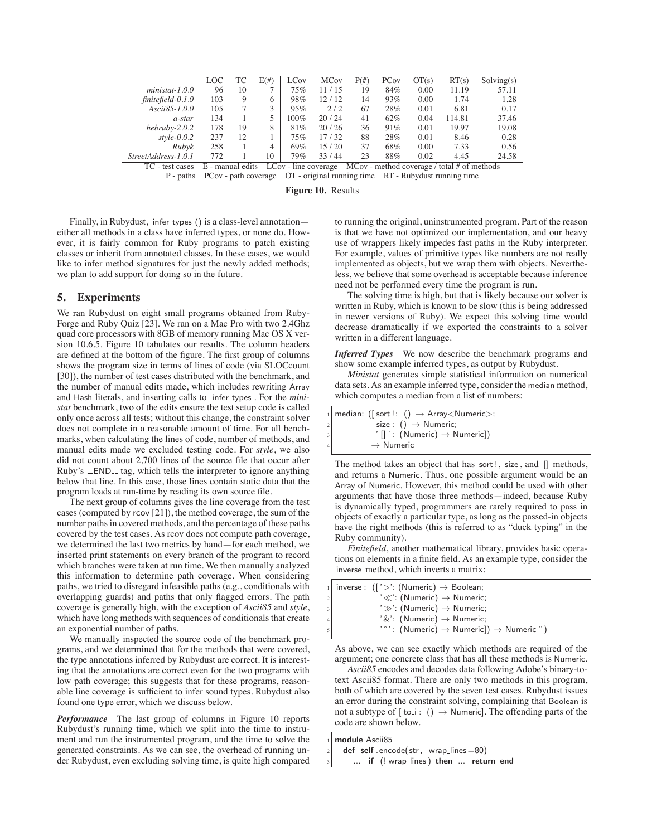|                     | LOC | ТC               | $E(\#)$ | LCov                 | <b>MCov</b> | $P(\#)$ | PCov | OT(s) | RT(s)                                         | $\overline{\text{Solving}}(s)$ |
|---------------------|-----|------------------|---------|----------------------|-------------|---------|------|-------|-----------------------------------------------|--------------------------------|
| $ministat-1.0.0$    | 96  | 10               | ⇁       | 75%                  | ำ 5         | 19      | 84%  | 0.00  | 11.19                                         | 57.11                          |
| $finitefield-0.1.0$ | 103 | 9                | 6       | 98%                  | 12/12       | 14      | 93%  | 0.00  | 1.74                                          | 1.28                           |
| Ascii85-1.0.0       | 105 |                  |         | 95%                  | 2/2         | 67      | 28%  | 0.01  | 6.81                                          | 0.17                           |
| $a$ -star           | 134 |                  |         | $100\%$              | 20/24       | 41      | 62%  | 0.04  | 114.81                                        | 37.46                          |
| $hebruby-2.0.2$     | 178 | 19               | 8       | 81%                  | 20/26       | 36      | 91%  | 0.01  | 19.97                                         | 19.08                          |
| $style-0.0.2$       | 237 | 12               |         | 75%                  | 17/32       | 88      | 28%  | 0.01  | 8.46                                          | 0.28                           |
| Rubyk               | 258 |                  | 4       | 69%                  | 15/20       | 37      | 68%  | 0.00  | 7.33                                          | 0.56                           |
| StreetAddress-1.0.1 | 772 |                  | 10      | 79%                  | 33/44       | 23      | 88%  | 0.02  | 4.45                                          | 24.58                          |
| TC - test cases     |     | E - manual edits |         | LCov - line coverage |             |         |      |       | $MCov$ - method coverage / total # of methods |                                |

P - paths PCov - path coverage OT - original running time RT - Rubydust running time

**Figure 10.** Results

Finally, in Rubydust, infer\_types () is a class-level annotation either all methods in a class have inferred types, or none do. However, it is fairly common for Ruby programs to patch existing classes or inherit from annotated classes. In these cases, we would like to infer method signatures for just the newly added methods; we plan to add support for doing so in the future.

# **5. Experiments**

We ran Rubydust on eight small programs obtained from Ruby-Forge and Ruby Quiz [23]. We ran on a Mac Pro with two 2.4Ghz quad core processors with 8GB of memory running Mac OS X version 10.6.5. Figure 10 tabulates our results. The column headers are defined at the bottom of the figure. The first group of columns shows the program size in terms of lines of code (via SLOCcount [30]), the number of test cases distributed with the benchmark, and the number of manual edits made, which includes rewriting Array and Hash literals, and inserting calls to infer types . For the *ministat* benchmark, two of the edits ensure the test setup code is called only once across all tests; without this change, the constraint solver does not complete in a reasonable amount of time. For all benchmarks, when calculating the lines of code, number of methods, and manual edits made we excluded testing code. For *style*, we also did not count about 2,700 lines of the source file that occur after Ruby's \_END\_ tag, which tells the interpreter to ignore anything below that line. In this case, those lines contain static data that the program loads at run-time by reading its own source file.

The next group of columns gives the line coverage from the test cases (computed by rcov [21]), the method coverage, the sum of the number paths in covered methods, and the percentage of these paths covered by the test cases. As rcov does not compute path coverage, we determined the last two metrics by hand—for each method, we inserted print statements on every branch of the program to record which branches were taken at run time. We then manually analyzed this information to determine path coverage. When considering paths, we tried to disregard infeasible paths (e.g., conditionals with overlapping guards) and paths that only flagged errors. The path coverage is generally high, with the exception of *Ascii85* and *style*, which have long methods with sequences of conditionals that create an exponential number of paths.

We manually inspected the source code of the benchmark programs, and we determined that for the methods that were covered, the type annotations inferred by Rubydust are correct. It is interesting that the annotations are correct even for the two programs with low path coverage; this suggests that for these programs, reasonable line coverage is sufficient to infer sound types. Rubydust also found one type error, which we discuss below.

*Performance* The last group of columns in Figure 10 reports Rubydust's running time, which we split into the time to instrument and run the instrumented program, and the time to solve the generated constraints. As we can see, the overhead of running under Rubydust, even excluding solving time, is quite high compared to running the original, uninstrumented program. Part of the reason is that we have not optimized our implementation, and our heavy use of wrappers likely impedes fast paths in the Ruby interpreter. For example, values of primitive types like numbers are not really implemented as objects, but we wrap them with objects. Nevertheless, we believe that some overhead is acceptable because inference need not be performed every time the program is run.

The solving time is high, but that is likely because our solver is written in Ruby, which is known to be slow (this is being addressed in newer versions of Ruby). We expect this solving time would decrease dramatically if we exported the constraints to a solver written in a different language.

*Inferred Types* We now describe the benchmark programs and show some example inferred types, as output by Rubydust.

*Ministat* generates simple statistical information on numerical data sets. As an example inferred type, consider the median method, which computes a median from a list of numbers:

|               | $_1$   median: ( [ sort !: ( ) → Array <numeric>;</numeric> |
|---------------|-------------------------------------------------------------|
| 2             | size : () $\rightarrow$ Numeric;                            |
| $\frac{1}{3}$ | $'\left[\right]'$ : (Numeric) $\rightarrow$ Numeric])       |
| 4             | $\rightarrow$ Numeric                                       |
|               |                                                             |

The method takes an object that has sort !, size, and  $\parallel$  methods, and returns a Numeric. Thus, one possible argument would be an Array of Numeric. However, this method could be used with other arguments that have those three methods—indeed, because Ruby is dynamically typed, programmers are rarely required to pass in objects of exactly a particular type, as long as the passed-in objects have the right methods (this is referred to as "duck typing" in the Ruby community).

*Finitefield*, another mathematical library, provides basic operations on elements in a finite field. As an example type, consider the inverse method, which inverts a matrix:

|    | $\alpha$ inverse : (['>': (Numeric) → Boolean;                  |
|----|-----------------------------------------------------------------|
| 21 | $'\ll'$ : (Numeric) $\rightarrow$ Numeric;                      |
| 3  | $'\gg'$ : (Numeric) $\rightarrow$ Numeric;                      |
| 4  | '&': (Numeric) $\rightarrow$ Numeric;                           |
| 5  | '^': (Numeric) $\rightarrow$ Numeric]) $\rightarrow$ Numeric ") |
|    |                                                                 |

As above, we can see exactly which methods are required of the argument; one concrete class that has all these methods is Numeric.

*Ascii85* encodes and decodes data following Adobe's binary-totext Ascii85 format. There are only two methods in this program, both of which are covered by the seven test cases. Rubydust issues an error during the constraint solving, complaining that Boolean is not a subtype of [ $\text{to}$  i: ()  $\rightarrow$  Numeric]. The offending parts of the code are shown below.

module Ascii85

 $def$  self .encode(str, wrap\_lines  $=80$ )

<sup>3</sup> ... **if** (! wrap lines ) **then** ... **return end**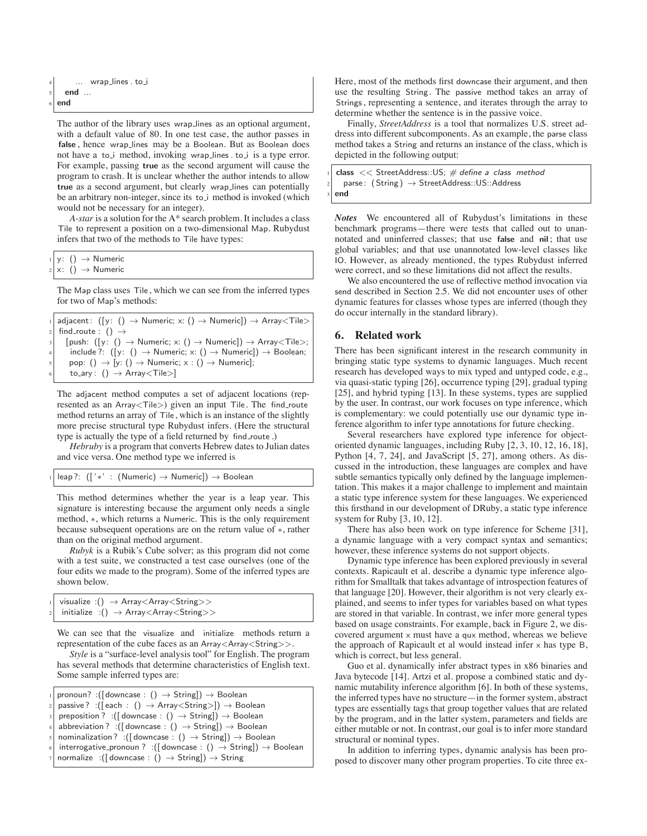The author of the library uses wrap lines as an optional argument, with a default value of 80. In one test case, the author passes in false, hence wrap\_lines may be a Boolean. But as Boolean does not have a to i method, invoking wrap lines . to i is a type error. For example, passing **true** as the second argument will cause the program to crash. It is unclear whether the author intends to allow **true** as a second argument, but clearly wrap lines can potentially be an arbitrary non-integer, since its to i method is invoked (which would not be necessary for an integer).

*A-star* is a solution for the A\* search problem. It includes a class Tile to represent a position on a two-dimensional Map. Rubydust infers that two of the methods to Tile have types:

```
y: () \rightarrow Numeric
x: () \rightarrow Numeric
```
The Map class uses Tile, which we can see from the inferred types for two of Map's methods:

|                         | $_1$   adjacent: $([y: () \rightarrow$ Numeric; x: $() \rightarrow$ Numeric]) $\rightarrow$ Array $<$ Tile $>$ |
|-------------------------|----------------------------------------------------------------------------------------------------------------|
|                         | $_2$ find_route : () $\rightarrow$                                                                             |
| $\overline{\mathbf{3}}$ | [push: ([y: () $\rightarrow$ Numeric; x: () $\rightarrow$ Numeric]) $\rightarrow$ Array <tile>;</tile>         |
| 4 I                     | include ?: ( $[y: () \rightarrow$ Numeric; x: () $\rightarrow$ Numeric]) $\rightarrow$ Boolean;                |
| 5                       | pop: () $\rightarrow$ [y: () $\rightarrow$ Numeric; x : () $\rightarrow$ Numeric];                             |
| 6                       | to_ary : () $\rightarrow$ Array $\lt$ Tile $>$                                                                 |

The adjacent method computes a set of adjacent locations (represented as an Array<Tile>) given an input Tile. The find\_route method returns an array of Tile, which is an instance of the slightly more precise structural type Rubydust infers. (Here the structural type is actually the type of a field returned by find route.)

*Hebruby* is a program that converts Hebrew dates to Julian dates and vice versa. One method type we inferred is

leap ?:  $([ ' * ' : (Numeric) \rightarrow Numeric]) \rightarrow Boolean$ 

This method determines whether the year is a leap year. This signature is interesting because the argument only needs a single method, ∗, which returns a Numeric. This is the only requirement because subsequent operations are on the return value of ∗, rather than on the original method argument.

*Rubyk* is a Rubik's Cube solver; as this program did not come with a test suite, we constructed a test case ourselves (one of the four edits we made to the program). Some of the inferred types are shown below.

| $\Box$ visualize :() → Array <array<string>&gt;</array<string>            |
|---------------------------------------------------------------------------|
| $_2$ initialize :() $\rightarrow$ Array <array<string>&gt;</array<string> |

We can see that the visualize and initialize methods return a representation of the cube faces as an  $Array <$ Array $<$ String $>$ .

*Style* is a "surface-level analysis tool" for English. The program has several methods that determine characteristics of English text. Some sample inferred types are:

```
pronoun? :([downcase : () \rightarrow String] \rightarrow Booleanpassive? :[ [each : () \rightarrow Array<String>]) \rightarrow Boolean
preposition ? :(\lceil downcase : \lceil) \rightarrow String]) \rightarrow Boolean
abbreviation ? :([ downcase : () \rightarrow String]) \rightarrow Boolean
nominalization ? :([ downcase : () \rightarrow String]) \rightarrow Boolean
interrogative\_pronoun ? ::([downcase : () \rightarrow String]) \rightarrow Booleannormalize :([ downcase : () \rightarrow String]) \rightarrow String
```
Here, most of the methods first downcase their argument, and then use the resulting String. The passive method takes an array of Strings , representing a sentence, and iterates through the array to determine whether the sentence is in the passive voice.

Finally, *StreetAddress* is a tool that normalizes U.S. street address into different subcomponents. As an example, the parse class method takes a String and returns an instance of the class, which is depicted in the following output:

| $\vert$ class << StreetAddress::US; # define a class method      |
|------------------------------------------------------------------|
| $_{2} $ parse: (String) $\rightarrow$ StreetAddress::US::Address |
| $_3$ end                                                         |

*Notes* We encountered all of Rubydust's limitations in these benchmark programs—there were tests that called out to unannotated and uninferred classes; that use **false** and **nil** ; that use global variables; and that use unannotated low-level classes like IO. However, as already mentioned, the types Rubydust inferred were correct, and so these limitations did not affect the results.

We also encountered the use of reflective method invocation via send described in Section 2.5. We did not encounter uses of other dynamic features for classes whose types are inferred (though they do occur internally in the standard library).

# **6. Related work**

There has been significant interest in the research community in bringing static type systems to dynamic languages. Much recent research has developed ways to mix typed and untyped code, e.g., via quasi-static typing [26], occurrence typing [29], gradual typing [25], and hybrid typing [13]. In these systems, types are supplied by the user. In contrast, our work focuses on type inference, which is complementary: we could potentially use our dynamic type inference algorithm to infer type annotations for future checking.

Several researchers have explored type inference for objectoriented dynamic languages, including Ruby [2, 3, 10, 12, 16, 18], Python [4, 7, 24], and JavaScript [5, 27], among others. As discussed in the introduction, these languages are complex and have subtle semantics typically only defined by the language implementation. This makes it a major challenge to implement and maintain a static type inference system for these languages. We experienced this firsthand in our development of DRuby, a static type inference system for Ruby [3, 10, 12].

There has also been work on type inference for Scheme [31], a dynamic language with a very compact syntax and semantics; however, these inference systems do not support objects.

Dynamic type inference has been explored previously in several contexts. Rapicault et al. describe a dynamic type inference algorithm for Smalltalk that takes advantage of introspection features of that language [20]. However, their algorithm is not very clearly explained, and seems to infer types for variables based on what types are stored in that variable. In contrast, we infer more general types based on usage constraints. For example, back in Figure 2, we discovered argument x must have a qux method, whereas we believe the approach of Rapicault et al would instead infer  $\times$  has type B, which is correct, but less general.

Guo et al. dynamically infer abstract types in x86 binaries and Java bytecode [14]. Artzi et al. propose a combined static and dynamic mutability inference algorithm [6]. In both of these systems, the inferred types have no structure—in the former system, abstract types are essentially tags that group together values that are related by the program, and in the latter system, parameters and fields are either mutable or not. In contrast, our goal is to infer more standard structural or nominal types.

In addition to inferring types, dynamic analysis has been proposed to discover many other program properties. To cite three ex